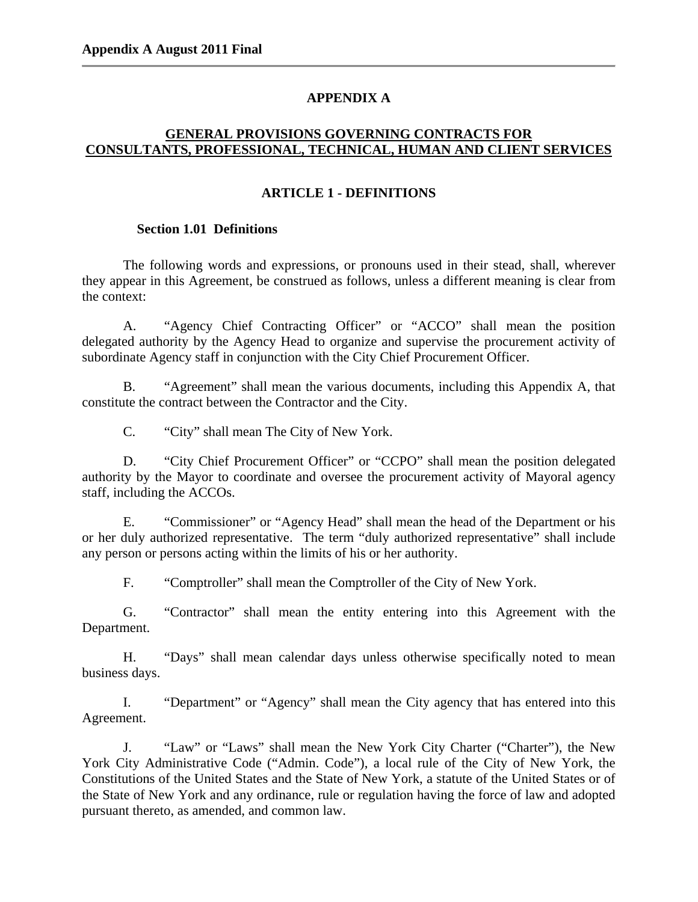# **APPENDIX A**

# **GENERAL PROVISIONS GOVERNING CONTRACTS FOR CONSULTANTS, PROFESSIONAL, TECHNICAL, HUMAN AND CLIENT SERVICES**

## **ARTICLE 1 - DEFINITIONS**

## **Section 1.01 Definitions**

The following words and expressions, or pronouns used in their stead, shall, wherever they appear in this Agreement, be construed as follows, unless a different meaning is clear from the context:

A. "Agency Chief Contracting Officer" or "ACCO" shall mean the position delegated authority by the Agency Head to organize and supervise the procurement activity of subordinate Agency staff in conjunction with the City Chief Procurement Officer.

B. "Agreement" shall mean the various documents, including this Appendix A, that constitute the contract between the Contractor and the City.

C. "City" shall mean The City of New York.

D. "City Chief Procurement Officer" or "CCPO" shall mean the position delegated authority by the Mayor to coordinate and oversee the procurement activity of Mayoral agency staff, including the ACCOs.

E. "Commissioner" or "Agency Head" shall mean the head of the Department or his or her duly authorized representative. The term "duly authorized representative" shall include any person or persons acting within the limits of his or her authority.

F. "Comptroller" shall mean the Comptroller of the City of New York.

G. "Contractor" shall mean the entity entering into this Agreement with the Department.

H. "Days" shall mean calendar days unless otherwise specifically noted to mean business days.

I. "Department" or "Agency" shall mean the City agency that has entered into this Agreement.

J. "Law" or "Laws" shall mean the New York City Charter ("Charter"), the New York City Administrative Code ("Admin. Code"), a local rule of the City of New York, the Constitutions of the United States and the State of New York, a statute of the United States or of the State of New York and any ordinance, rule or regulation having the force of law and adopted pursuant thereto, as amended, and common law.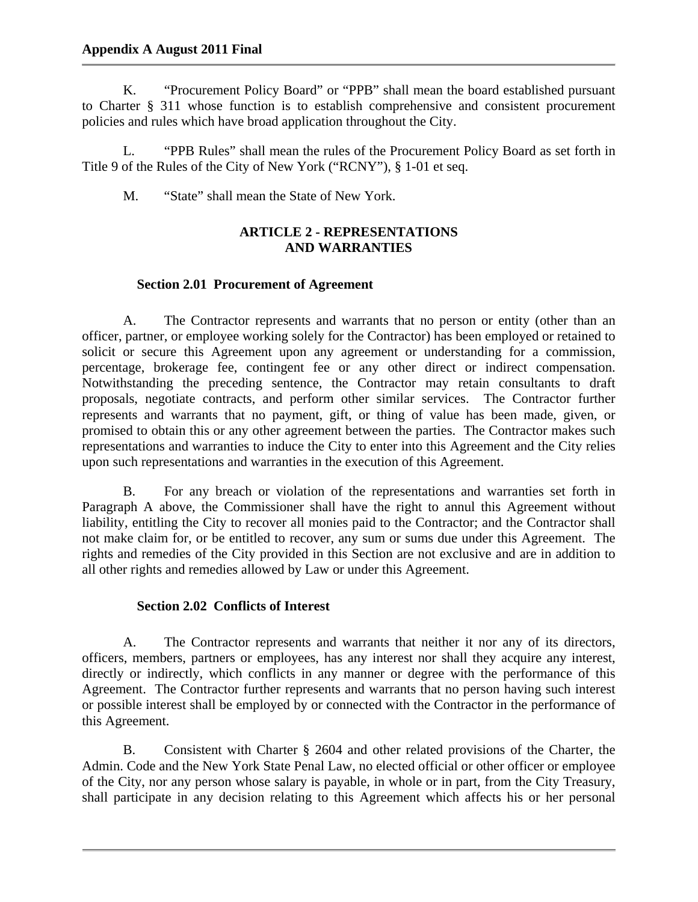K. "Procurement Policy Board" or "PPB" shall mean the board established pursuant to Charter § 311 whose function is to establish comprehensive and consistent procurement policies and rules which have broad application throughout the City.

L. "PPB Rules" shall mean the rules of the Procurement Policy Board as set forth in Title 9 of the Rules of the City of New York ("RCNY"), § 1-01 et seq.

M. "State" shall mean the State of New York.

# **ARTICLE 2 - REPRESENTATIONS AND WARRANTIES**

## **Section 2.01 Procurement of Agreement**

A. The Contractor represents and warrants that no person or entity (other than an officer, partner, or employee working solely for the Contractor) has been employed or retained to solicit or secure this Agreement upon any agreement or understanding for a commission, percentage, brokerage fee, contingent fee or any other direct or indirect compensation. Notwithstanding the preceding sentence, the Contractor may retain consultants to draft proposals, negotiate contracts, and perform other similar services. The Contractor further represents and warrants that no payment, gift, or thing of value has been made, given, or promised to obtain this or any other agreement between the parties. The Contractor makes such representations and warranties to induce the City to enter into this Agreement and the City relies upon such representations and warranties in the execution of this Agreement.

B. For any breach or violation of the representations and warranties set forth in Paragraph A above, the Commissioner shall have the right to annul this Agreement without liability, entitling the City to recover all monies paid to the Contractor; and the Contractor shall not make claim for, or be entitled to recover, any sum or sums due under this Agreement. The rights and remedies of the City provided in this Section are not exclusive and are in addition to all other rights and remedies allowed by Law or under this Agreement.

## **Section 2.02 Conflicts of Interest**

A. The Contractor represents and warrants that neither it nor any of its directors, officers, members, partners or employees, has any interest nor shall they acquire any interest, directly or indirectly, which conflicts in any manner or degree with the performance of this Agreement. The Contractor further represents and warrants that no person having such interest or possible interest shall be employed by or connected with the Contractor in the performance of this Agreement.

B. Consistent with Charter § 2604 and other related provisions of the Charter, the Admin. Code and the New York State Penal Law, no elected official or other officer or employee of the City, nor any person whose salary is payable, in whole or in part, from the City Treasury, shall participate in any decision relating to this Agreement which affects his or her personal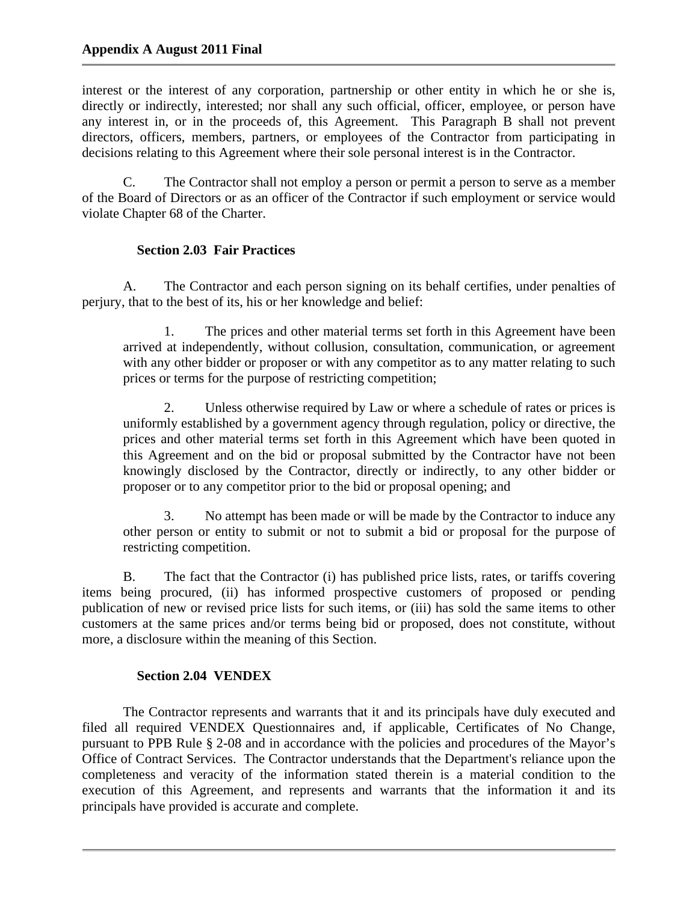interest or the interest of any corporation, partnership or other entity in which he or she is, directly or indirectly, interested; nor shall any such official, officer, employee, or person have any interest in, or in the proceeds of, this Agreement. This Paragraph B shall not prevent directors, officers, members, partners, or employees of the Contractor from participating in decisions relating to this Agreement where their sole personal interest is in the Contractor.

C. The Contractor shall not employ a person or permit a person to serve as a member of the Board of Directors or as an officer of the Contractor if such employment or service would violate Chapter 68 of the Charter.

# **Section 2.03 Fair Practices**

A. The Contractor and each person signing on its behalf certifies, under penalties of perjury, that to the best of its, his or her knowledge and belief:

1. The prices and other material terms set forth in this Agreement have been arrived at independently, without collusion, consultation, communication, or agreement with any other bidder or proposer or with any competitor as to any matter relating to such prices or terms for the purpose of restricting competition;

2. Unless otherwise required by Law or where a schedule of rates or prices is uniformly established by a government agency through regulation, policy or directive, the prices and other material terms set forth in this Agreement which have been quoted in this Agreement and on the bid or proposal submitted by the Contractor have not been knowingly disclosed by the Contractor, directly or indirectly, to any other bidder or proposer or to any competitor prior to the bid or proposal opening; and

3. No attempt has been made or will be made by the Contractor to induce any other person or entity to submit or not to submit a bid or proposal for the purpose of restricting competition.

B. The fact that the Contractor (i) has published price lists, rates, or tariffs covering items being procured, (ii) has informed prospective customers of proposed or pending publication of new or revised price lists for such items, or (iii) has sold the same items to other customers at the same prices and/or terms being bid or proposed, does not constitute, without more, a disclosure within the meaning of this Section.

## **Section 2.04 VENDEX**

The Contractor represents and warrants that it and its principals have duly executed and filed all required VENDEX Questionnaires and, if applicable, Certificates of No Change, pursuant to PPB Rule § 2-08 and in accordance with the policies and procedures of the Mayor's Office of Contract Services. The Contractor understands that the Department's reliance upon the completeness and veracity of the information stated therein is a material condition to the execution of this Agreement, and represents and warrants that the information it and its principals have provided is accurate and complete.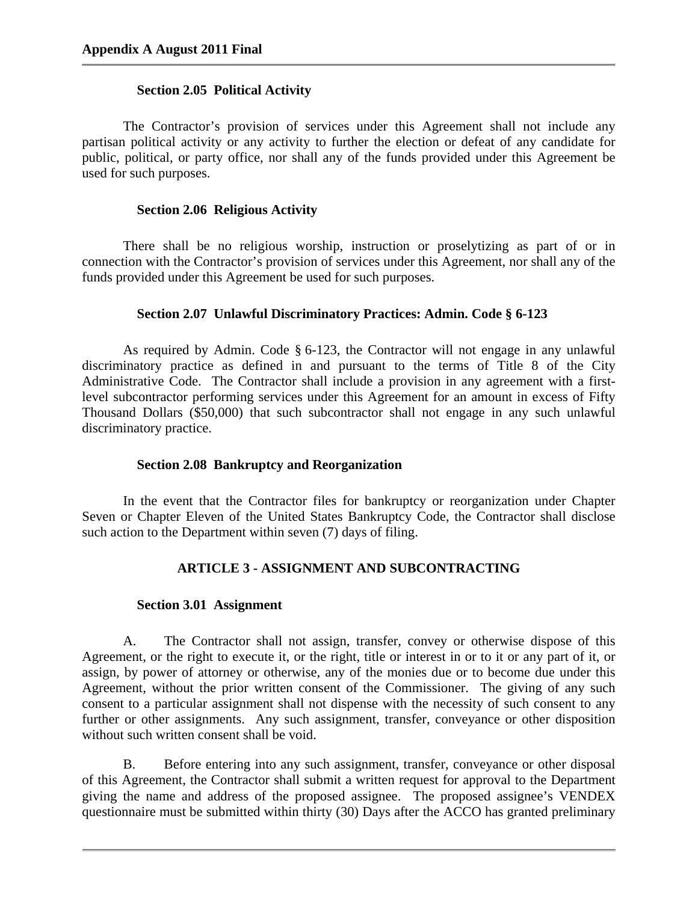### **Section 2.05 Political Activity**

The Contractor's provision of services under this Agreement shall not include any partisan political activity or any activity to further the election or defeat of any candidate for public, political, or party office, nor shall any of the funds provided under this Agreement be used for such purposes.

### **Section 2.06 Religious Activity**

There shall be no religious worship, instruction or proselytizing as part of or in connection with the Contractor's provision of services under this Agreement, nor shall any of the funds provided under this Agreement be used for such purposes.

## **Section 2.07 Unlawful Discriminatory Practices: Admin. Code § 6-123**

As required by Admin. Code § 6-123, the Contractor will not engage in any unlawful discriminatory practice as defined in and pursuant to the terms of Title 8 of the City Administrative Code. The Contractor shall include a provision in any agreement with a firstlevel subcontractor performing services under this Agreement for an amount in excess of Fifty Thousand Dollars (\$50,000) that such subcontractor shall not engage in any such unlawful discriminatory practice.

## **Section 2.08 Bankruptcy and Reorganization**

In the event that the Contractor files for bankruptcy or reorganization under Chapter Seven or Chapter Eleven of the United States Bankruptcy Code, the Contractor shall disclose such action to the Department within seven (7) days of filing.

## **ARTICLE 3 - ASSIGNMENT AND SUBCONTRACTING**

## **Section 3.01 Assignment**

A. The Contractor shall not assign, transfer, convey or otherwise dispose of this Agreement, or the right to execute it, or the right, title or interest in or to it or any part of it, or assign, by power of attorney or otherwise, any of the monies due or to become due under this Agreement, without the prior written consent of the Commissioner. The giving of any such consent to a particular assignment shall not dispense with the necessity of such consent to any further or other assignments. Any such assignment, transfer, conveyance or other disposition without such written consent shall be void.

B. Before entering into any such assignment, transfer, conveyance or other disposal of this Agreement, the Contractor shall submit a written request for approval to the Department giving the name and address of the proposed assignee. The proposed assignee's VENDEX questionnaire must be submitted within thirty (30) Days after the ACCO has granted preliminary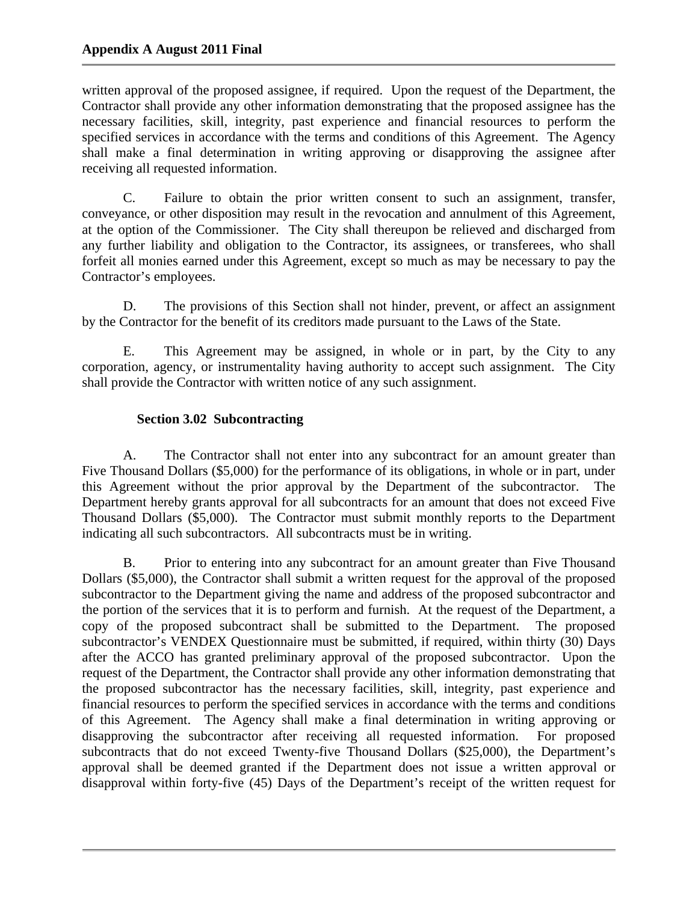written approval of the proposed assignee, if required. Upon the request of the Department, the Contractor shall provide any other information demonstrating that the proposed assignee has the necessary facilities, skill, integrity, past experience and financial resources to perform the specified services in accordance with the terms and conditions of this Agreement. The Agency shall make a final determination in writing approving or disapproving the assignee after receiving all requested information.

C. Failure to obtain the prior written consent to such an assignment, transfer, conveyance, or other disposition may result in the revocation and annulment of this Agreement, at the option of the Commissioner. The City shall thereupon be relieved and discharged from any further liability and obligation to the Contractor, its assignees, or transferees, who shall forfeit all monies earned under this Agreement, except so much as may be necessary to pay the Contractor's employees.

D. The provisions of this Section shall not hinder, prevent, or affect an assignment by the Contractor for the benefit of its creditors made pursuant to the Laws of the State.

E. This Agreement may be assigned, in whole or in part, by the City to any corporation, agency, or instrumentality having authority to accept such assignment. The City shall provide the Contractor with written notice of any such assignment.

# **Section 3.02 Subcontracting**

A. The Contractor shall not enter into any subcontract for an amount greater than Five Thousand Dollars (\$5,000) for the performance of its obligations, in whole or in part, under this Agreement without the prior approval by the Department of the subcontractor. The Department hereby grants approval for all subcontracts for an amount that does not exceed Five Thousand Dollars (\$5,000). The Contractor must submit monthly reports to the Department indicating all such subcontractors. All subcontracts must be in writing.

B. Prior to entering into any subcontract for an amount greater than Five Thousand Dollars (\$5,000), the Contractor shall submit a written request for the approval of the proposed subcontractor to the Department giving the name and address of the proposed subcontractor and the portion of the services that it is to perform and furnish. At the request of the Department, a copy of the proposed subcontract shall be submitted to the Department. The proposed subcontractor's VENDEX Questionnaire must be submitted, if required, within thirty (30) Days after the ACCO has granted preliminary approval of the proposed subcontractor. Upon the request of the Department, the Contractor shall provide any other information demonstrating that the proposed subcontractor has the necessary facilities, skill, integrity, past experience and financial resources to perform the specified services in accordance with the terms and conditions of this Agreement. The Agency shall make a final determination in writing approving or disapproving the subcontractor after receiving all requested information. For proposed subcontracts that do not exceed Twenty-five Thousand Dollars (\$25,000), the Department's approval shall be deemed granted if the Department does not issue a written approval or disapproval within forty-five (45) Days of the Department's receipt of the written request for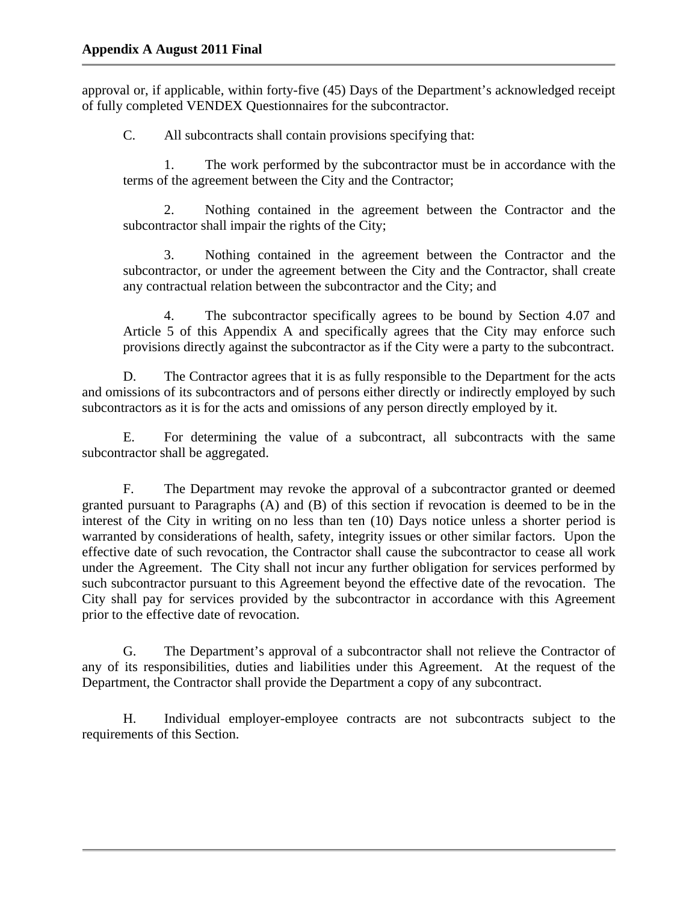approval or, if applicable, within forty-five (45) Days of the Department's acknowledged receipt of fully completed VENDEX Questionnaires for the subcontractor.

C. All subcontracts shall contain provisions specifying that:

1. The work performed by the subcontractor must be in accordance with the terms of the agreement between the City and the Contractor;

2. Nothing contained in the agreement between the Contractor and the subcontractor shall impair the rights of the City;

3. Nothing contained in the agreement between the Contractor and the subcontractor, or under the agreement between the City and the Contractor, shall create any contractual relation between the subcontractor and the City; and

4. The subcontractor specifically agrees to be bound by Section 4.07 and Article 5 of this Appendix A and specifically agrees that the City may enforce such provisions directly against the subcontractor as if the City were a party to the subcontract.

D. The Contractor agrees that it is as fully responsible to the Department for the acts and omissions of its subcontractors and of persons either directly or indirectly employed by such subcontractors as it is for the acts and omissions of any person directly employed by it.

E. For determining the value of a subcontract, all subcontracts with the same subcontractor shall be aggregated.

F. The Department may revoke the approval of a subcontractor granted or deemed granted pursuant to Paragraphs (A) and (B) of this section if revocation is deemed to be in the interest of the City in writing on no less than ten (10) Days notice unless a shorter period is warranted by considerations of health, safety, integrity issues or other similar factors. Upon the effective date of such revocation, the Contractor shall cause the subcontractor to cease all work under the Agreement. The City shall not incur any further obligation for services performed by such subcontractor pursuant to this Agreement beyond the effective date of the revocation. The City shall pay for services provided by the subcontractor in accordance with this Agreement prior to the effective date of revocation.

G. The Department's approval of a subcontractor shall not relieve the Contractor of any of its responsibilities, duties and liabilities under this Agreement. At the request of the Department, the Contractor shall provide the Department a copy of any subcontract.

H. Individual employer-employee contracts are not subcontracts subject to the requirements of this Section.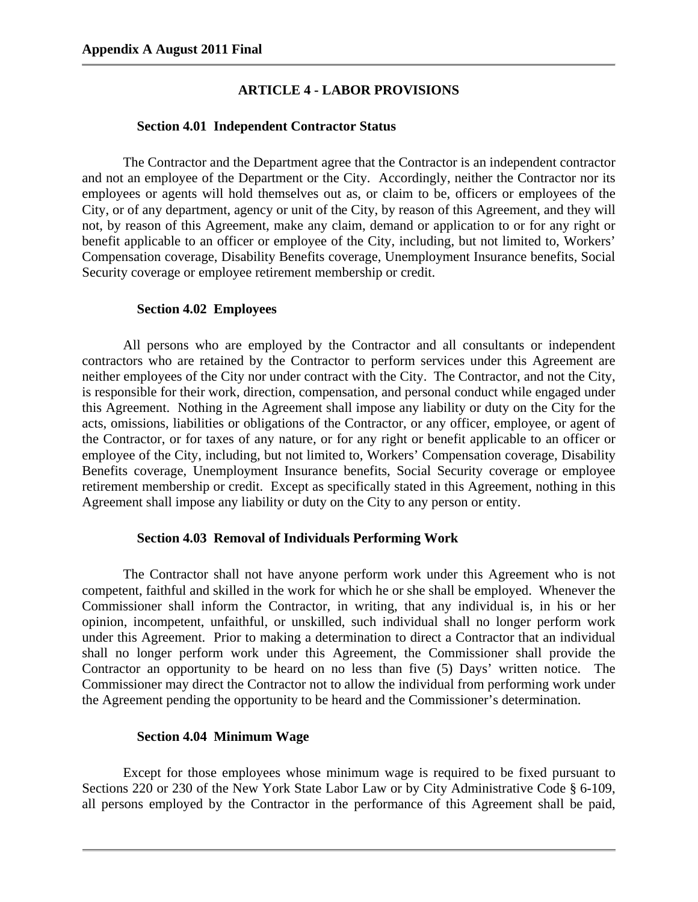### **ARTICLE 4 - LABOR PROVISIONS**

#### **Section 4.01 Independent Contractor Status**

The Contractor and the Department agree that the Contractor is an independent contractor and not an employee of the Department or the City. Accordingly, neither the Contractor nor its employees or agents will hold themselves out as, or claim to be, officers or employees of the City, or of any department, agency or unit of the City, by reason of this Agreement, and they will not, by reason of this Agreement, make any claim, demand or application to or for any right or benefit applicable to an officer or employee of the City, including, but not limited to, Workers' Compensation coverage, Disability Benefits coverage, Unemployment Insurance benefits, Social Security coverage or employee retirement membership or credit.

#### **Section 4.02 Employees**

All persons who are employed by the Contractor and all consultants or independent contractors who are retained by the Contractor to perform services under this Agreement are neither employees of the City nor under contract with the City. The Contractor, and not the City, is responsible for their work, direction, compensation, and personal conduct while engaged under this Agreement. Nothing in the Agreement shall impose any liability or duty on the City for the acts, omissions, liabilities or obligations of the Contractor, or any officer, employee, or agent of the Contractor, or for taxes of any nature, or for any right or benefit applicable to an officer or employee of the City, including, but not limited to, Workers' Compensation coverage, Disability Benefits coverage, Unemployment Insurance benefits, Social Security coverage or employee retirement membership or credit. Except as specifically stated in this Agreement, nothing in this Agreement shall impose any liability or duty on the City to any person or entity.

#### **Section 4.03 Removal of Individuals Performing Work**

The Contractor shall not have anyone perform work under this Agreement who is not competent, faithful and skilled in the work for which he or she shall be employed. Whenever the Commissioner shall inform the Contractor, in writing, that any individual is, in his or her opinion, incompetent, unfaithful, or unskilled, such individual shall no longer perform work under this Agreement. Prior to making a determination to direct a Contractor that an individual shall no longer perform work under this Agreement, the Commissioner shall provide the Contractor an opportunity to be heard on no less than five (5) Days' written notice. The Commissioner may direct the Contractor not to allow the individual from performing work under the Agreement pending the opportunity to be heard and the Commissioner's determination.

#### **Section 4.04 Minimum Wage**

Except for those employees whose minimum wage is required to be fixed pursuant to Sections 220 or 230 of the New York State Labor Law or by City Administrative Code § 6-109, all persons employed by the Contractor in the performance of this Agreement shall be paid,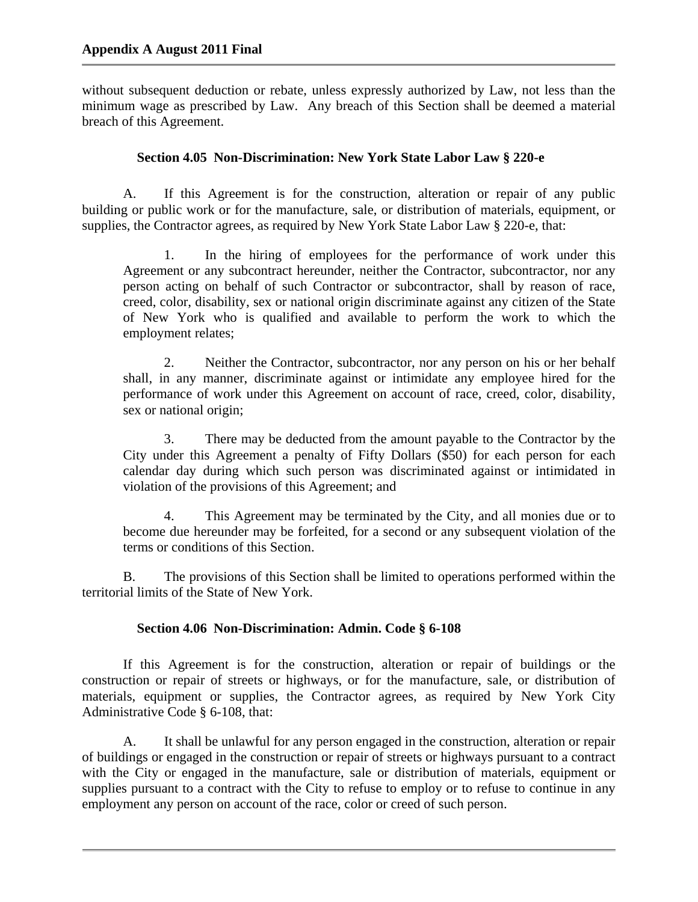without subsequent deduction or rebate, unless expressly authorized by Law, not less than the minimum wage as prescribed by Law. Any breach of this Section shall be deemed a material breach of this Agreement.

## **Section 4.05 Non-Discrimination: New York State Labor Law § 220-e**

A. If this Agreement is for the construction, alteration or repair of any public building or public work or for the manufacture, sale, or distribution of materials, equipment, or supplies, the Contractor agrees, as required by New York State Labor Law § 220-e, that:

1. In the hiring of employees for the performance of work under this Agreement or any subcontract hereunder, neither the Contractor, subcontractor, nor any person acting on behalf of such Contractor or subcontractor, shall by reason of race, creed, color, disability, sex or national origin discriminate against any citizen of the State of New York who is qualified and available to perform the work to which the employment relates;

2. Neither the Contractor, subcontractor, nor any person on his or her behalf shall, in any manner, discriminate against or intimidate any employee hired for the performance of work under this Agreement on account of race, creed, color, disability, sex or national origin;

3. There may be deducted from the amount payable to the Contractor by the City under this Agreement a penalty of Fifty Dollars (\$50) for each person for each calendar day during which such person was discriminated against or intimidated in violation of the provisions of this Agreement; and

4. This Agreement may be terminated by the City, and all monies due or to become due hereunder may be forfeited, for a second or any subsequent violation of the terms or conditions of this Section.

B. The provisions of this Section shall be limited to operations performed within the territorial limits of the State of New York.

## **Section 4.06 Non-Discrimination: Admin. Code § 6-108**

If this Agreement is for the construction, alteration or repair of buildings or the construction or repair of streets or highways, or for the manufacture, sale, or distribution of materials, equipment or supplies, the Contractor agrees, as required by New York City Administrative Code § 6-108, that:

A. It shall be unlawful for any person engaged in the construction, alteration or repair of buildings or engaged in the construction or repair of streets or highways pursuant to a contract with the City or engaged in the manufacture, sale or distribution of materials, equipment or supplies pursuant to a contract with the City to refuse to employ or to refuse to continue in any employment any person on account of the race, color or creed of such person.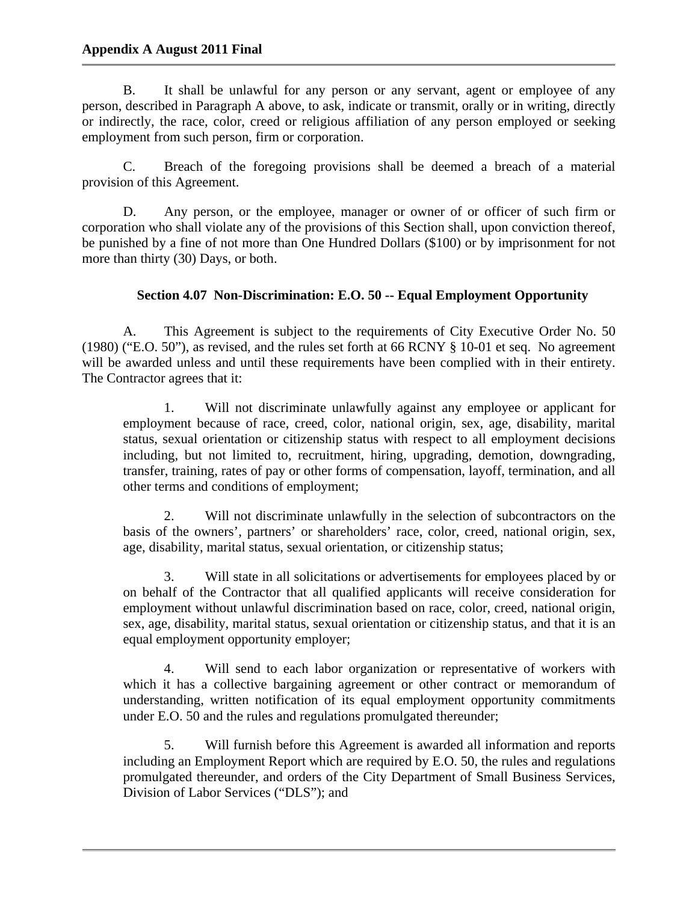## **Appendix A August 2011 Final**

B. It shall be unlawful for any person or any servant, agent or employee of any person, described in Paragraph A above, to ask, indicate or transmit, orally or in writing, directly or indirectly, the race, color, creed or religious affiliation of any person employed or seeking employment from such person, firm or corporation.

C. Breach of the foregoing provisions shall be deemed a breach of a material provision of this Agreement.

D. Any person, or the employee, manager or owner of or officer of such firm or corporation who shall violate any of the provisions of this Section shall, upon conviction thereof, be punished by a fine of not more than One Hundred Dollars (\$100) or by imprisonment for not more than thirty (30) Days, or both.

## **Section 4.07 Non-Discrimination: E.O. 50 -- Equal Employment Opportunity**

A. This Agreement is subject to the requirements of City Executive Order No. 50 (1980) ("E.O. 50"), as revised, and the rules set forth at 66 RCNY § 10-01 et seq. No agreement will be awarded unless and until these requirements have been complied with in their entirety. The Contractor agrees that it:

1. Will not discriminate unlawfully against any employee or applicant for employment because of race, creed, color, national origin, sex, age, disability, marital status, sexual orientation or citizenship status with respect to all employment decisions including, but not limited to, recruitment, hiring, upgrading, demotion, downgrading, transfer, training, rates of pay or other forms of compensation, layoff, termination, and all other terms and conditions of employment;

2. Will not discriminate unlawfully in the selection of subcontractors on the basis of the owners', partners' or shareholders' race, color, creed, national origin, sex, age, disability, marital status, sexual orientation, or citizenship status;

3. Will state in all solicitations or advertisements for employees placed by or on behalf of the Contractor that all qualified applicants will receive consideration for employment without unlawful discrimination based on race, color, creed, national origin, sex, age, disability, marital status, sexual orientation or citizenship status, and that it is an equal employment opportunity employer;

4. Will send to each labor organization or representative of workers with which it has a collective bargaining agreement or other contract or memorandum of understanding, written notification of its equal employment opportunity commitments under E.O. 50 and the rules and regulations promulgated thereunder;

5. Will furnish before this Agreement is awarded all information and reports including an Employment Report which are required by E.O. 50, the rules and regulations promulgated thereunder, and orders of the City Department of Small Business Services, Division of Labor Services ("DLS"); and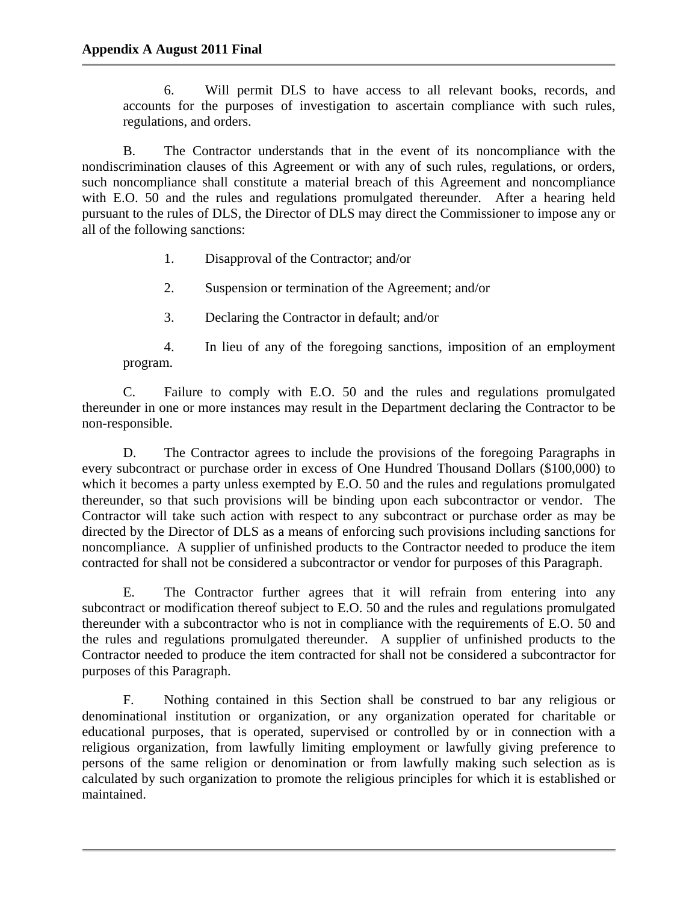6. Will permit DLS to have access to all relevant books, records, and accounts for the purposes of investigation to ascertain compliance with such rules, regulations, and orders.

B. The Contractor understands that in the event of its noncompliance with the nondiscrimination clauses of this Agreement or with any of such rules, regulations, or orders, such noncompliance shall constitute a material breach of this Agreement and noncompliance with E.O. 50 and the rules and regulations promulgated thereunder. After a hearing held pursuant to the rules of DLS, the Director of DLS may direct the Commissioner to impose any or all of the following sanctions:

- 1. Disapproval of the Contractor; and/or
- 2. Suspension or termination of the Agreement; and/or
- 3. Declaring the Contractor in default; and/or

4. In lieu of any of the foregoing sanctions, imposition of an employment program.

C. Failure to comply with E.O. 50 and the rules and regulations promulgated thereunder in one or more instances may result in the Department declaring the Contractor to be non-responsible.

D. The Contractor agrees to include the provisions of the foregoing Paragraphs in every subcontract or purchase order in excess of One Hundred Thousand Dollars (\$100,000) to which it becomes a party unless exempted by E.O. 50 and the rules and regulations promulgated thereunder, so that such provisions will be binding upon each subcontractor or vendor. The Contractor will take such action with respect to any subcontract or purchase order as may be directed by the Director of DLS as a means of enforcing such provisions including sanctions for noncompliance. A supplier of unfinished products to the Contractor needed to produce the item contracted for shall not be considered a subcontractor or vendor for purposes of this Paragraph.

E. The Contractor further agrees that it will refrain from entering into any subcontract or modification thereof subject to E.O. 50 and the rules and regulations promulgated thereunder with a subcontractor who is not in compliance with the requirements of E.O. 50 and the rules and regulations promulgated thereunder. A supplier of unfinished products to the Contractor needed to produce the item contracted for shall not be considered a subcontractor for purposes of this Paragraph.

F. Nothing contained in this Section shall be construed to bar any religious or denominational institution or organization, or any organization operated for charitable or educational purposes, that is operated, supervised or controlled by or in connection with a religious organization, from lawfully limiting employment or lawfully giving preference to persons of the same religion or denomination or from lawfully making such selection as is calculated by such organization to promote the religious principles for which it is established or maintained.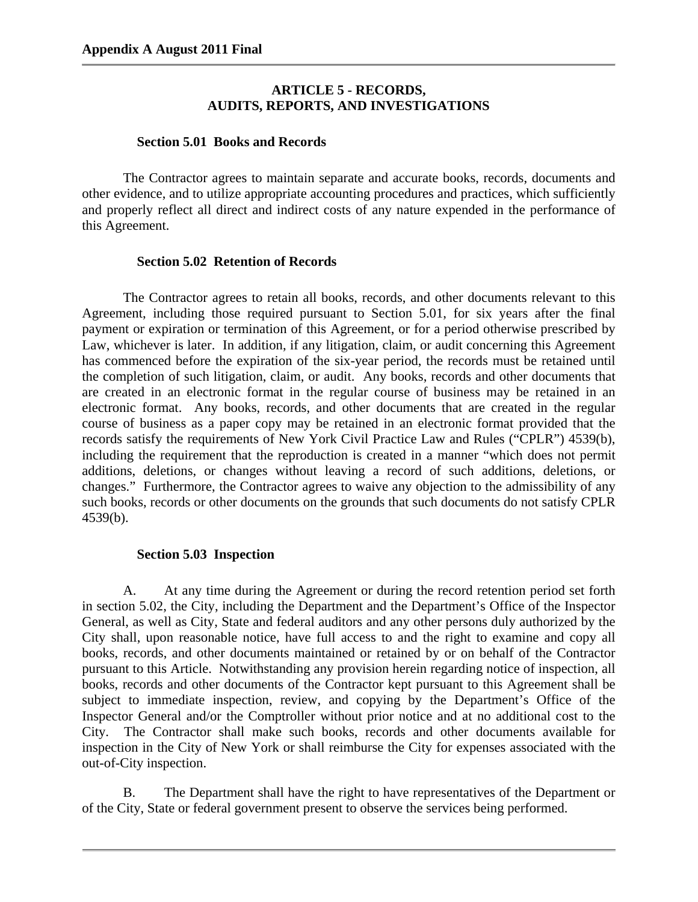## **ARTICLE 5 - RECORDS, AUDITS, REPORTS, AND INVESTIGATIONS**

### **Section 5.01 Books and Records**

The Contractor agrees to maintain separate and accurate books, records, documents and other evidence, and to utilize appropriate accounting procedures and practices, which sufficiently and properly reflect all direct and indirect costs of any nature expended in the performance of this Agreement.

### **Section 5.02 Retention of Records**

The Contractor agrees to retain all books, records, and other documents relevant to this Agreement, including those required pursuant to Section 5.01, for six years after the final payment or expiration or termination of this Agreement, or for a period otherwise prescribed by Law, whichever is later. In addition, if any litigation, claim, or audit concerning this Agreement has commenced before the expiration of the six-year period, the records must be retained until the completion of such litigation, claim, or audit. Any books, records and other documents that are created in an electronic format in the regular course of business may be retained in an electronic format. Any books, records, and other documents that are created in the regular course of business as a paper copy may be retained in an electronic format provided that the records satisfy the requirements of New York Civil Practice Law and Rules ("CPLR") 4539(b), including the requirement that the reproduction is created in a manner "which does not permit additions, deletions, or changes without leaving a record of such additions, deletions, or changes." Furthermore, the Contractor agrees to waive any objection to the admissibility of any such books, records or other documents on the grounds that such documents do not satisfy CPLR 4539(b).

## **Section 5.03 Inspection**

A. At any time during the Agreement or during the record retention period set forth in section 5.02, the City, including the Department and the Department's Office of the Inspector General, as well as City, State and federal auditors and any other persons duly authorized by the City shall, upon reasonable notice, have full access to and the right to examine and copy all books, records, and other documents maintained or retained by or on behalf of the Contractor pursuant to this Article. Notwithstanding any provision herein regarding notice of inspection, all books, records and other documents of the Contractor kept pursuant to this Agreement shall be subject to immediate inspection, review, and copying by the Department's Office of the Inspector General and/or the Comptroller without prior notice and at no additional cost to the City. The Contractor shall make such books, records and other documents available for inspection in the City of New York or shall reimburse the City for expenses associated with the out-of-City inspection.

B. The Department shall have the right to have representatives of the Department or of the City, State or federal government present to observe the services being performed.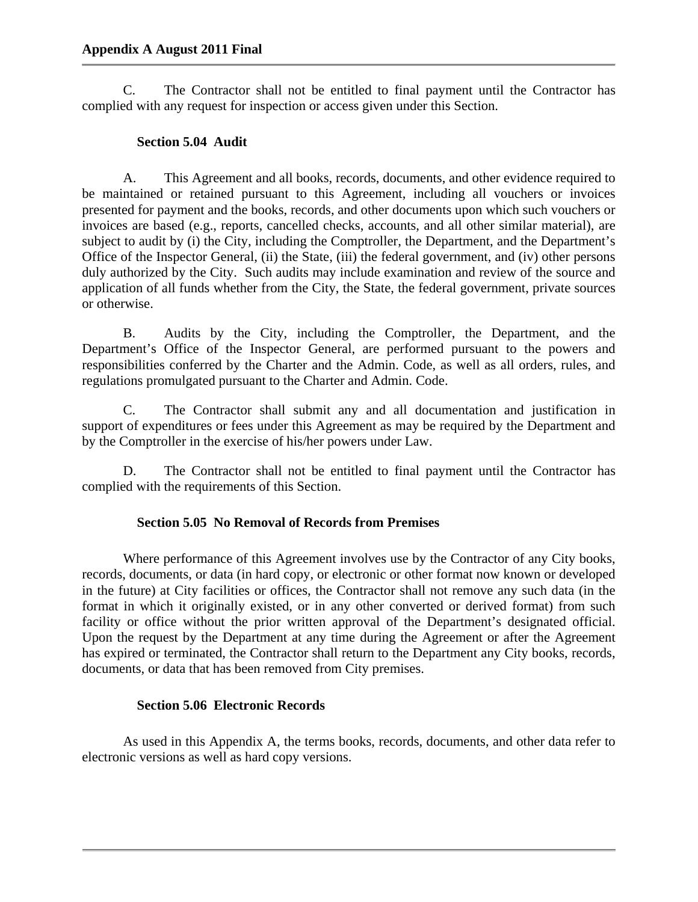C. The Contractor shall not be entitled to final payment until the Contractor has complied with any request for inspection or access given under this Section.

## **Section 5.04 Audit**

A. This Agreement and all books, records, documents, and other evidence required to be maintained or retained pursuant to this Agreement, including all vouchers or invoices presented for payment and the books, records, and other documents upon which such vouchers or invoices are based (e.g., reports, cancelled checks, accounts, and all other similar material), are subject to audit by (i) the City, including the Comptroller, the Department, and the Department's Office of the Inspector General, (ii) the State, (iii) the federal government, and (iv) other persons duly authorized by the City. Such audits may include examination and review of the source and application of all funds whether from the City, the State, the federal government, private sources or otherwise.

B. Audits by the City, including the Comptroller, the Department, and the Department's Office of the Inspector General, are performed pursuant to the powers and responsibilities conferred by the Charter and the Admin. Code, as well as all orders, rules, and regulations promulgated pursuant to the Charter and Admin. Code.

C. The Contractor shall submit any and all documentation and justification in support of expenditures or fees under this Agreement as may be required by the Department and by the Comptroller in the exercise of his/her powers under Law.

D. The Contractor shall not be entitled to final payment until the Contractor has complied with the requirements of this Section.

# **Section 5.05 No Removal of Records from Premises**

Where performance of this Agreement involves use by the Contractor of any City books, records, documents, or data (in hard copy, or electronic or other format now known or developed in the future) at City facilities or offices, the Contractor shall not remove any such data (in the format in which it originally existed, or in any other converted or derived format) from such facility or office without the prior written approval of the Department's designated official. Upon the request by the Department at any time during the Agreement or after the Agreement has expired or terminated, the Contractor shall return to the Department any City books, records, documents, or data that has been removed from City premises.

## **Section 5.06 Electronic Records**

As used in this Appendix A, the terms books, records, documents, and other data refer to electronic versions as well as hard copy versions.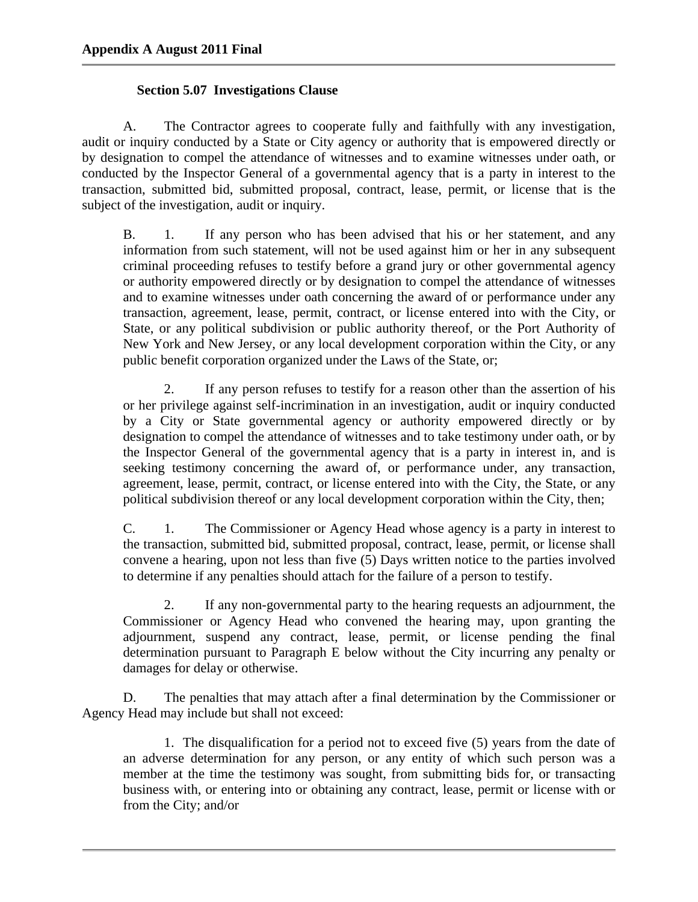## **Section 5.07 Investigations Clause**

A. The Contractor agrees to cooperate fully and faithfully with any investigation, audit or inquiry conducted by a State or City agency or authority that is empowered directly or by designation to compel the attendance of witnesses and to examine witnesses under oath, or conducted by the Inspector General of a governmental agency that is a party in interest to the transaction, submitted bid, submitted proposal, contract, lease, permit, or license that is the subject of the investigation, audit or inquiry.

B. 1. If any person who has been advised that his or her statement, and any information from such statement, will not be used against him or her in any subsequent criminal proceeding refuses to testify before a grand jury or other governmental agency or authority empowered directly or by designation to compel the attendance of witnesses and to examine witnesses under oath concerning the award of or performance under any transaction, agreement, lease, permit, contract, or license entered into with the City, or State, or any political subdivision or public authority thereof, or the Port Authority of New York and New Jersey, or any local development corporation within the City, or any public benefit corporation organized under the Laws of the State, or;

2. If any person refuses to testify for a reason other than the assertion of his or her privilege against self-incrimination in an investigation, audit or inquiry conducted by a City or State governmental agency or authority empowered directly or by designation to compel the attendance of witnesses and to take testimony under oath, or by the Inspector General of the governmental agency that is a party in interest in, and is seeking testimony concerning the award of, or performance under, any transaction, agreement, lease, permit, contract, or license entered into with the City, the State, or any political subdivision thereof or any local development corporation within the City, then;

C. 1. The Commissioner or Agency Head whose agency is a party in interest to the transaction, submitted bid, submitted proposal, contract, lease, permit, or license shall convene a hearing, upon not less than five (5) Days written notice to the parties involved to determine if any penalties should attach for the failure of a person to testify.

2. If any non-governmental party to the hearing requests an adjournment, the Commissioner or Agency Head who convened the hearing may, upon granting the adjournment, suspend any contract, lease, permit, or license pending the final determination pursuant to Paragraph E below without the City incurring any penalty or damages for delay or otherwise.

D. The penalties that may attach after a final determination by the Commissioner or Agency Head may include but shall not exceed:

1. The disqualification for a period not to exceed five (5) years from the date of an adverse determination for any person, or any entity of which such person was a member at the time the testimony was sought, from submitting bids for, or transacting business with, or entering into or obtaining any contract, lease, permit or license with or from the City; and/or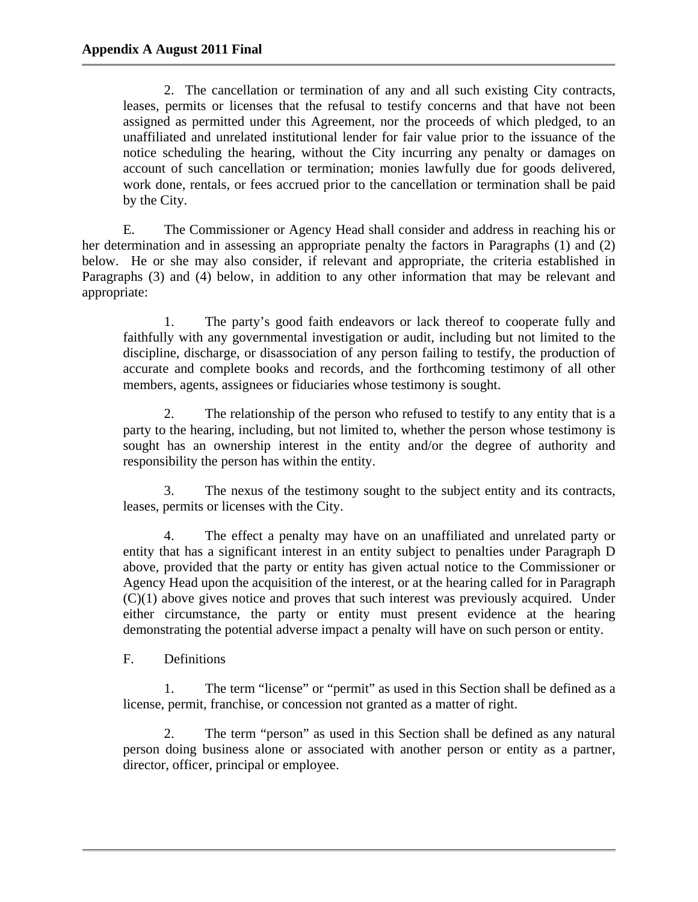2. The cancellation or termination of any and all such existing City contracts, leases, permits or licenses that the refusal to testify concerns and that have not been assigned as permitted under this Agreement, nor the proceeds of which pledged, to an unaffiliated and unrelated institutional lender for fair value prior to the issuance of the notice scheduling the hearing, without the City incurring any penalty or damages on account of such cancellation or termination; monies lawfully due for goods delivered, work done, rentals, or fees accrued prior to the cancellation or termination shall be paid by the City.

E. The Commissioner or Agency Head shall consider and address in reaching his or her determination and in assessing an appropriate penalty the factors in Paragraphs (1) and (2) below. He or she may also consider, if relevant and appropriate, the criteria established in Paragraphs (3) and (4) below, in addition to any other information that may be relevant and appropriate:

1. The party's good faith endeavors or lack thereof to cooperate fully and faithfully with any governmental investigation or audit, including but not limited to the discipline, discharge, or disassociation of any person failing to testify, the production of accurate and complete books and records, and the forthcoming testimony of all other members, agents, assignees or fiduciaries whose testimony is sought.

2. The relationship of the person who refused to testify to any entity that is a party to the hearing, including, but not limited to, whether the person whose testimony is sought has an ownership interest in the entity and/or the degree of authority and responsibility the person has within the entity.

3. The nexus of the testimony sought to the subject entity and its contracts, leases, permits or licenses with the City.

4. The effect a penalty may have on an unaffiliated and unrelated party or entity that has a significant interest in an entity subject to penalties under Paragraph D above, provided that the party or entity has given actual notice to the Commissioner or Agency Head upon the acquisition of the interest, or at the hearing called for in Paragraph (C)(1) above gives notice and proves that such interest was previously acquired. Under either circumstance, the party or entity must present evidence at the hearing demonstrating the potential adverse impact a penalty will have on such person or entity.

F. Definitions

1. The term "license" or "permit" as used in this Section shall be defined as a license, permit, franchise, or concession not granted as a matter of right.

2. The term "person" as used in this Section shall be defined as any natural person doing business alone or associated with another person or entity as a partner, director, officer, principal or employee.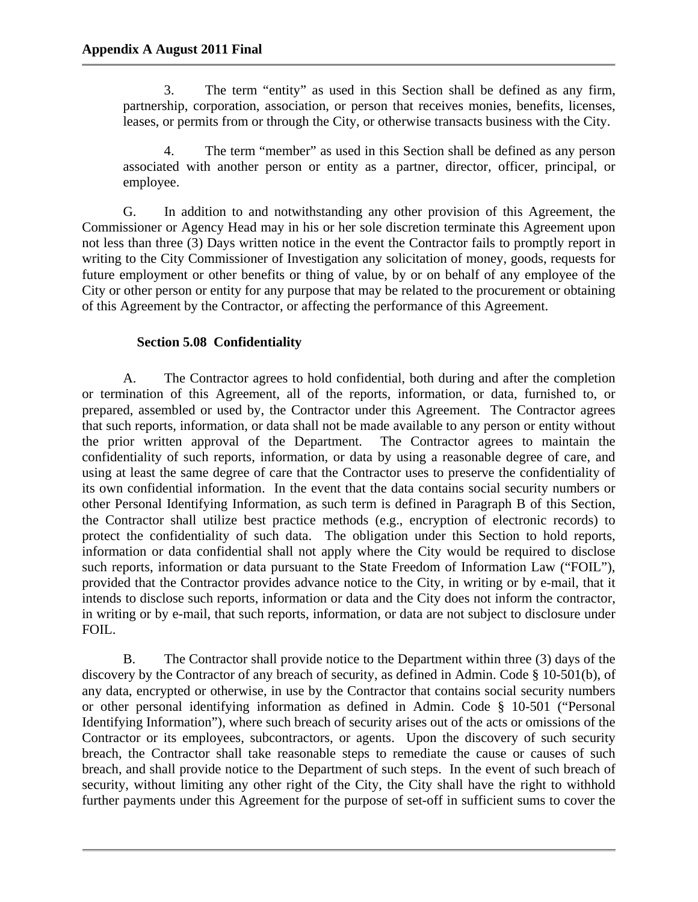3. The term "entity" as used in this Section shall be defined as any firm, partnership, corporation, association, or person that receives monies, benefits, licenses, leases, or permits from or through the City, or otherwise transacts business with the City.

4. The term "member" as used in this Section shall be defined as any person associated with another person or entity as a partner, director, officer, principal, or employee.

G. In addition to and notwithstanding any other provision of this Agreement, the Commissioner or Agency Head may in his or her sole discretion terminate this Agreement upon not less than three (3) Days written notice in the event the Contractor fails to promptly report in writing to the City Commissioner of Investigation any solicitation of money, goods, requests for future employment or other benefits or thing of value, by or on behalf of any employee of the City or other person or entity for any purpose that may be related to the procurement or obtaining of this Agreement by the Contractor, or affecting the performance of this Agreement.

## **Section 5.08 Confidentiality**

A. The Contractor agrees to hold confidential, both during and after the completion or termination of this Agreement, all of the reports, information, or data, furnished to, or prepared, assembled or used by, the Contractor under this Agreement. The Contractor agrees that such reports, information, or data shall not be made available to any person or entity without the prior written approval of the Department. The Contractor agrees to maintain the confidentiality of such reports, information, or data by using a reasonable degree of care, and using at least the same degree of care that the Contractor uses to preserve the confidentiality of its own confidential information. In the event that the data contains social security numbers or other Personal Identifying Information, as such term is defined in Paragraph B of this Section, the Contractor shall utilize best practice methods (e.g., encryption of electronic records) to protect the confidentiality of such data. The obligation under this Section to hold reports, information or data confidential shall not apply where the City would be required to disclose such reports, information or data pursuant to the State Freedom of Information Law ("FOIL"), provided that the Contractor provides advance notice to the City, in writing or by e-mail, that it intends to disclose such reports, information or data and the City does not inform the contractor, in writing or by e-mail, that such reports, information, or data are not subject to disclosure under FOIL.

B. The Contractor shall provide notice to the Department within three (3) days of the discovery by the Contractor of any breach of security, as defined in Admin. Code § 10-501(b), of any data, encrypted or otherwise, in use by the Contractor that contains social security numbers or other personal identifying information as defined in Admin. Code § 10-501 ("Personal Identifying Information"), where such breach of security arises out of the acts or omissions of the Contractor or its employees, subcontractors, or agents. Upon the discovery of such security breach, the Contractor shall take reasonable steps to remediate the cause or causes of such breach, and shall provide notice to the Department of such steps. In the event of such breach of security, without limiting any other right of the City, the City shall have the right to withhold further payments under this Agreement for the purpose of set-off in sufficient sums to cover the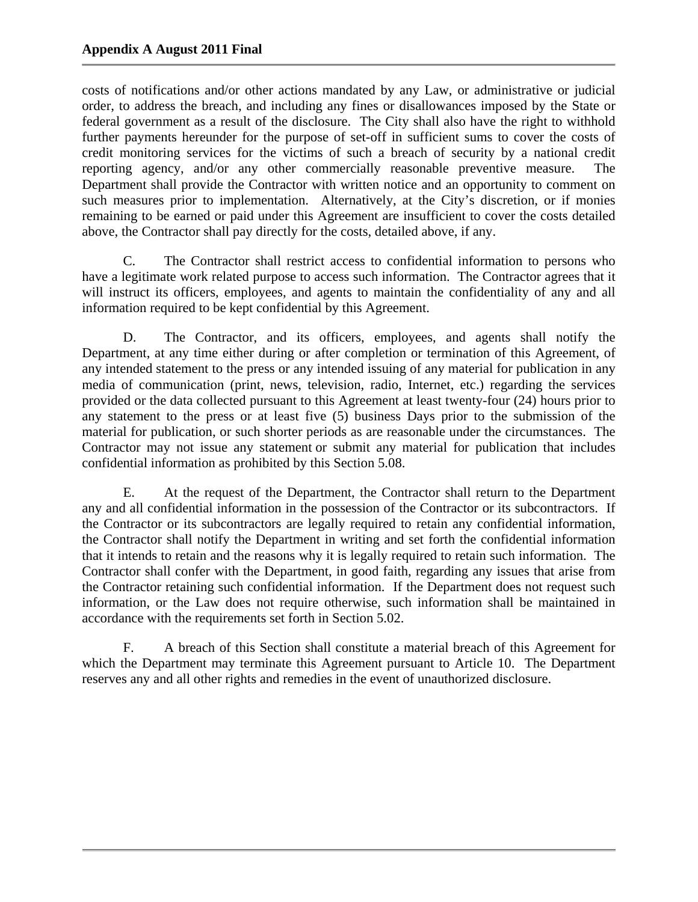costs of notifications and/or other actions mandated by any Law, or administrative or judicial order, to address the breach, and including any fines or disallowances imposed by the State or federal government as a result of the disclosure. The City shall also have the right to withhold further payments hereunder for the purpose of set-off in sufficient sums to cover the costs of credit monitoring services for the victims of such a breach of security by a national credit reporting agency, and/or any other commercially reasonable preventive measure. The Department shall provide the Contractor with written notice and an opportunity to comment on such measures prior to implementation. Alternatively, at the City's discretion, or if monies remaining to be earned or paid under this Agreement are insufficient to cover the costs detailed above, the Contractor shall pay directly for the costs, detailed above, if any.

C. The Contractor shall restrict access to confidential information to persons who have a legitimate work related purpose to access such information. The Contractor agrees that it will instruct its officers, employees, and agents to maintain the confidentiality of any and all information required to be kept confidential by this Agreement.

D. The Contractor, and its officers, employees, and agents shall notify the Department, at any time either during or after completion or termination of this Agreement, of any intended statement to the press or any intended issuing of any material for publication in any media of communication (print, news, television, radio, Internet, etc.) regarding the services provided or the data collected pursuant to this Agreement at least twenty-four (24) hours prior to any statement to the press or at least five (5) business Days prior to the submission of the material for publication, or such shorter periods as are reasonable under the circumstances. The Contractor may not issue any statement or submit any material for publication that includes confidential information as prohibited by this Section 5.08.

E. At the request of the Department, the Contractor shall return to the Department any and all confidential information in the possession of the Contractor or its subcontractors. If the Contractor or its subcontractors are legally required to retain any confidential information, the Contractor shall notify the Department in writing and set forth the confidential information that it intends to retain and the reasons why it is legally required to retain such information. The Contractor shall confer with the Department, in good faith, regarding any issues that arise from the Contractor retaining such confidential information. If the Department does not request such information, or the Law does not require otherwise, such information shall be maintained in accordance with the requirements set forth in Section 5.02.

F. A breach of this Section shall constitute a material breach of this Agreement for which the Department may terminate this Agreement pursuant to Article 10. The Department reserves any and all other rights and remedies in the event of unauthorized disclosure.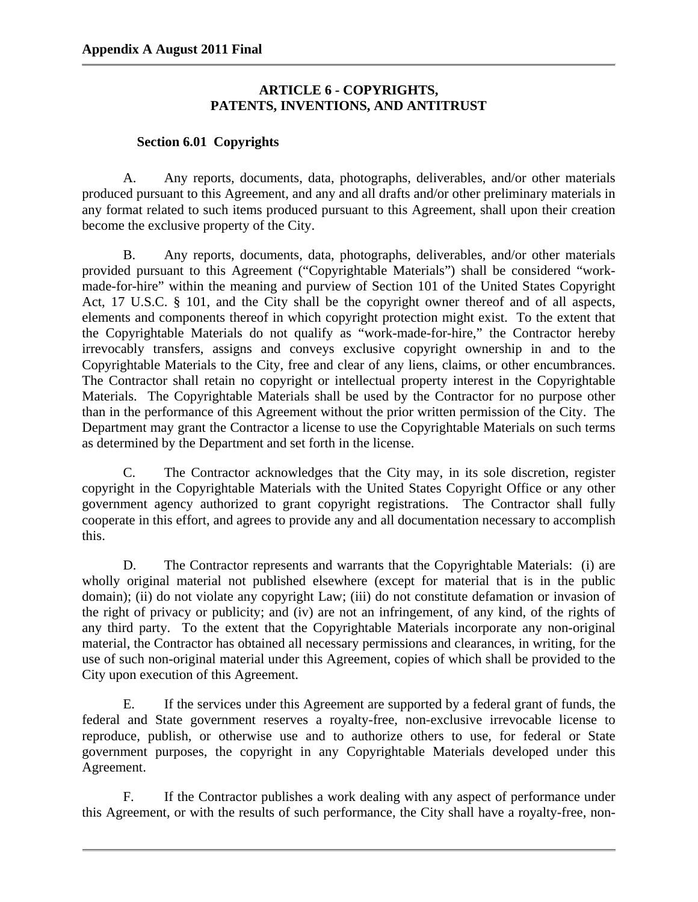## **ARTICLE 6 - COPYRIGHTS, PATENTS, INVENTIONS, AND ANTITRUST**

## **Section 6.01 Copyrights**

A. Any reports, documents, data, photographs, deliverables, and/or other materials produced pursuant to this Agreement, and any and all drafts and/or other preliminary materials in any format related to such items produced pursuant to this Agreement, shall upon their creation become the exclusive property of the City.

B. Any reports, documents, data, photographs, deliverables, and/or other materials provided pursuant to this Agreement ("Copyrightable Materials") shall be considered "workmade-for-hire" within the meaning and purview of Section 101 of the United States Copyright Act, 17 U.S.C. § 101, and the City shall be the copyright owner thereof and of all aspects, elements and components thereof in which copyright protection might exist. To the extent that the Copyrightable Materials do not qualify as "work-made-for-hire," the Contractor hereby irrevocably transfers, assigns and conveys exclusive copyright ownership in and to the Copyrightable Materials to the City, free and clear of any liens, claims, or other encumbrances. The Contractor shall retain no copyright or intellectual property interest in the Copyrightable Materials. The Copyrightable Materials shall be used by the Contractor for no purpose other than in the performance of this Agreement without the prior written permission of the City. The Department may grant the Contractor a license to use the Copyrightable Materials on such terms as determined by the Department and set forth in the license.

C. The Contractor acknowledges that the City may, in its sole discretion, register copyright in the Copyrightable Materials with the United States Copyright Office or any other government agency authorized to grant copyright registrations. The Contractor shall fully cooperate in this effort, and agrees to provide any and all documentation necessary to accomplish this.

D. The Contractor represents and warrants that the Copyrightable Materials: (i) are wholly original material not published elsewhere (except for material that is in the public domain); (ii) do not violate any copyright Law; (iii) do not constitute defamation or invasion of the right of privacy or publicity; and (iv) are not an infringement, of any kind, of the rights of any third party. To the extent that the Copyrightable Materials incorporate any non-original material, the Contractor has obtained all necessary permissions and clearances, in writing, for the use of such non-original material under this Agreement, copies of which shall be provided to the City upon execution of this Agreement.

E. If the services under this Agreement are supported by a federal grant of funds, the federal and State government reserves a royalty-free, non-exclusive irrevocable license to reproduce, publish, or otherwise use and to authorize others to use, for federal or State government purposes, the copyright in any Copyrightable Materials developed under this Agreement.

F. If the Contractor publishes a work dealing with any aspect of performance under this Agreement, or with the results of such performance, the City shall have a royalty-free, non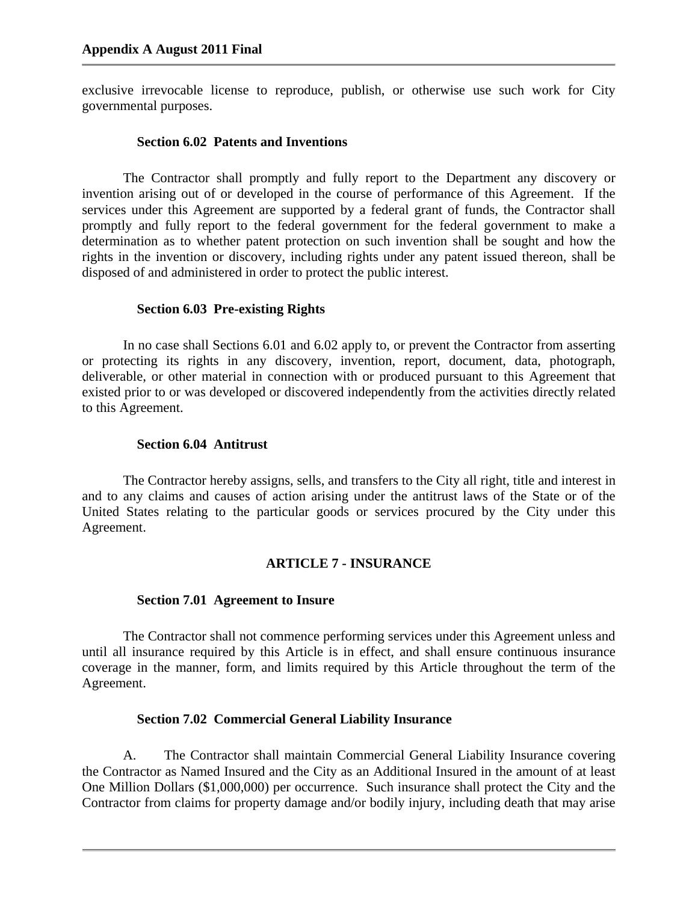exclusive irrevocable license to reproduce, publish, or otherwise use such work for City governmental purposes.

### **Section 6.02 Patents and Inventions**

The Contractor shall promptly and fully report to the Department any discovery or invention arising out of or developed in the course of performance of this Agreement. If the services under this Agreement are supported by a federal grant of funds, the Contractor shall promptly and fully report to the federal government for the federal government to make a determination as to whether patent protection on such invention shall be sought and how the rights in the invention or discovery, including rights under any patent issued thereon, shall be disposed of and administered in order to protect the public interest.

### **Section 6.03 Pre-existing Rights**

In no case shall Sections 6.01 and 6.02 apply to, or prevent the Contractor from asserting or protecting its rights in any discovery, invention, report, document, data, photograph, deliverable, or other material in connection with or produced pursuant to this Agreement that existed prior to or was developed or discovered independently from the activities directly related to this Agreement.

### **Section 6.04 Antitrust**

The Contractor hereby assigns, sells, and transfers to the City all right, title and interest in and to any claims and causes of action arising under the antitrust laws of the State or of the United States relating to the particular goods or services procured by the City under this Agreement.

## **ARTICLE 7 - INSURANCE**

#### **Section 7.01 Agreement to Insure**

The Contractor shall not commence performing services under this Agreement unless and until all insurance required by this Article is in effect, and shall ensure continuous insurance coverage in the manner, form, and limits required by this Article throughout the term of the Agreement.

## **Section 7.02 Commercial General Liability Insurance**

A. The Contractor shall maintain Commercial General Liability Insurance covering the Contractor as Named Insured and the City as an Additional Insured in the amount of at least One Million Dollars (\$1,000,000) per occurrence. Such insurance shall protect the City and the Contractor from claims for property damage and/or bodily injury, including death that may arise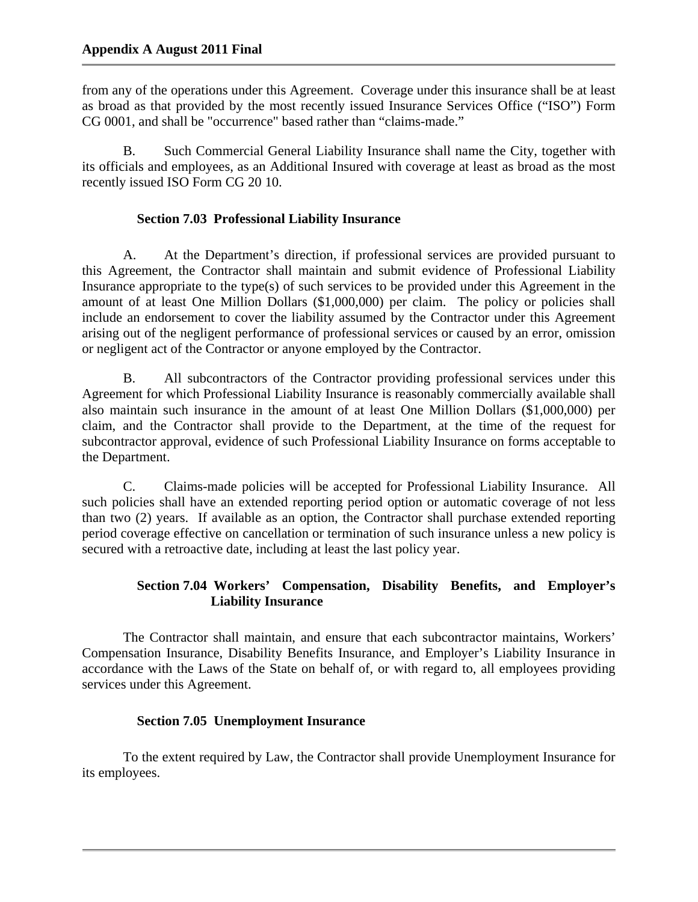from any of the operations under this Agreement. Coverage under this insurance shall be at least as broad as that provided by the most recently issued Insurance Services Office ("ISO") Form CG 0001, and shall be "occurrence" based rather than "claims-made."

B. Such Commercial General Liability Insurance shall name the City, together with its officials and employees, as an Additional Insured with coverage at least as broad as the most recently issued ISO Form CG 20 10.

## **Section 7.03 Professional Liability Insurance**

A. At the Department's direction, if professional services are provided pursuant to this Agreement, the Contractor shall maintain and submit evidence of Professional Liability Insurance appropriate to the type(s) of such services to be provided under this Agreement in the amount of at least One Million Dollars (\$1,000,000) per claim. The policy or policies shall include an endorsement to cover the liability assumed by the Contractor under this Agreement arising out of the negligent performance of professional services or caused by an error, omission or negligent act of the Contractor or anyone employed by the Contractor.

B. All subcontractors of the Contractor providing professional services under this Agreement for which Professional Liability Insurance is reasonably commercially available shall also maintain such insurance in the amount of at least One Million Dollars (\$1,000,000) per claim, and the Contractor shall provide to the Department, at the time of the request for subcontractor approval, evidence of such Professional Liability Insurance on forms acceptable to the Department.

C. Claims-made policies will be accepted for Professional Liability Insurance. All such policies shall have an extended reporting period option or automatic coverage of not less than two (2) years. If available as an option, the Contractor shall purchase extended reporting period coverage effective on cancellation or termination of such insurance unless a new policy is secured with a retroactive date, including at least the last policy year.

# **Section 7.04 Workers' Compensation, Disability Benefits, and Employer's Liability Insurance**

The Contractor shall maintain, and ensure that each subcontractor maintains, Workers' Compensation Insurance, Disability Benefits Insurance, and Employer's Liability Insurance in accordance with the Laws of the State on behalf of, or with regard to, all employees providing services under this Agreement.

# **Section 7.05 Unemployment Insurance**

To the extent required by Law, the Contractor shall provide Unemployment Insurance for its employees.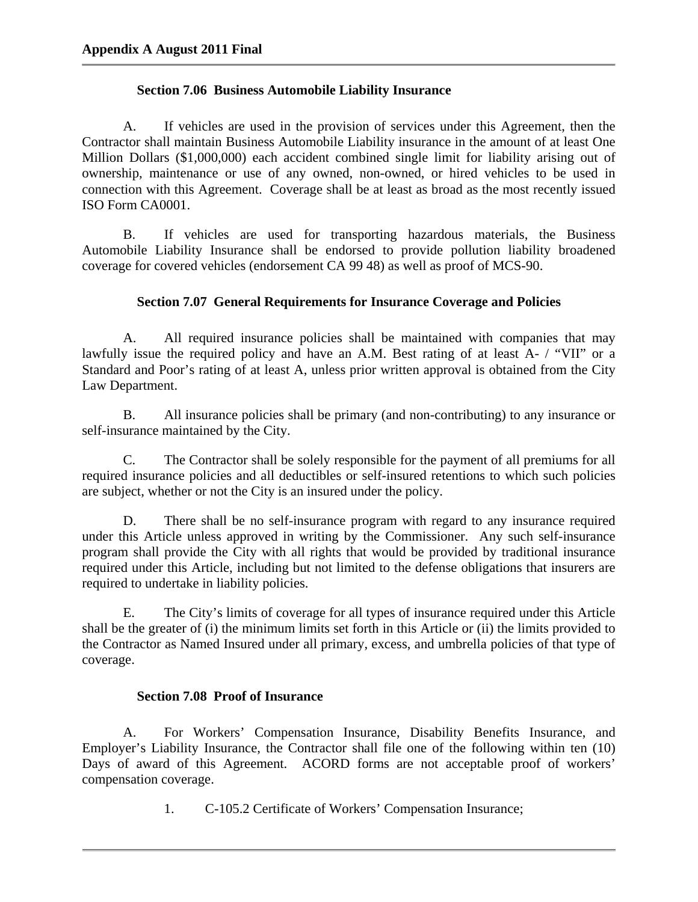## **Section 7.06 Business Automobile Liability Insurance**

 A. If vehicles are used in the provision of services under this Agreement, then the Contractor shall maintain Business Automobile Liability insurance in the amount of at least One Million Dollars (\$1,000,000) each accident combined single limit for liability arising out of ownership, maintenance or use of any owned, non-owned, or hired vehicles to be used in connection with this Agreement. Coverage shall be at least as broad as the most recently issued ISO Form CA0001.

B. If vehicles are used for transporting hazardous materials, the Business Automobile Liability Insurance shall be endorsed to provide pollution liability broadened coverage for covered vehicles (endorsement CA 99 48) as well as proof of MCS-90.

## **Section 7.07 General Requirements for Insurance Coverage and Policies**

 A. All required insurance policies shall be maintained with companies that may lawfully issue the required policy and have an A.M. Best rating of at least A- / "VII" or a Standard and Poor's rating of at least A, unless prior written approval is obtained from the City Law Department.

 B. All insurance policies shall be primary (and non-contributing) to any insurance or self-insurance maintained by the City.

 C. The Contractor shall be solely responsible for the payment of all premiums for all required insurance policies and all deductibles or self-insured retentions to which such policies are subject, whether or not the City is an insured under the policy.

 D. There shall be no self-insurance program with regard to any insurance required under this Article unless approved in writing by the Commissioner. Any such self-insurance program shall provide the City with all rights that would be provided by traditional insurance required under this Article, including but not limited to the defense obligations that insurers are required to undertake in liability policies.

 E. The City's limits of coverage for all types of insurance required under this Article shall be the greater of (i) the minimum limits set forth in this Article or (ii) the limits provided to the Contractor as Named Insured under all primary, excess, and umbrella policies of that type of coverage.

# **Section 7.08 Proof of Insurance**

 A. For Workers' Compensation Insurance, Disability Benefits Insurance, and Employer's Liability Insurance, the Contractor shall file one of the following within ten (10) Days of award of this Agreement. ACORD forms are not acceptable proof of workers' compensation coverage.

1. C-105.2 Certificate of Workers' Compensation Insurance;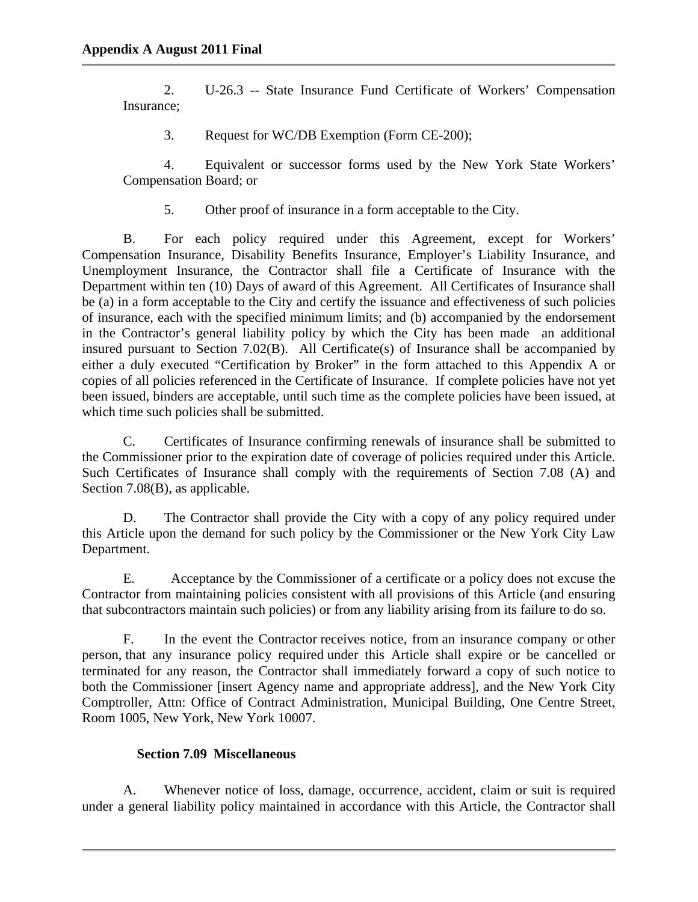2. U-26.3 -- State Insurance Fund Certificate of Workers' Compensation Insurance;

3. Request for WC/DB Exemption (Form CE-200);

4. Equivalent or successor forms used by the New York State Workers' Compensation Board; or

5. Other proof of insurance in a form acceptable to the City.

B. For each policy required under this Agreement, except for Workers' Compensation Insurance, Disability Benefits Insurance, Employer's Liability Insurance, and Unemployment Insurance, the Contractor shall file a Certificate of Insurance with the Department within ten (10) Days of award of this Agreement. All Certificates of Insurance shall be (a) in a form acceptable to the City and certify the issuance and effectiveness of such policies of insurance, each with the specified minimum limits; and (b) accompanied by the endorsement in the Contractor's general liability policy by which the City has been made an additional insured pursuant to Section 7.02(B). All Certificate(s) of Insurance shall be accompanied by either a duly executed "Certification by Broker" in the form attached to this Appendix A or copies of all policies referenced in the Certificate of Insurance. If complete policies have not yet been issued, binders are acceptable, until such time as the complete policies have been issued, at which time such policies shall be submitted.

C. Certificates of Insurance confirming renewals of insurance shall be submitted to the Commissioner prior to the expiration date of coverage of policies required under this Article. Such Certificates of Insurance shall comply with the requirements of Section 7.08 (A) and Section 7.08(B), as applicable.

D. The Contractor shall provide the City with a copy of any policy required under this Article upon the demand for such policy by the Commissioner or the New York City Law Department.

E. Acceptance by the Commissioner of a certificate or a policy does not excuse the Contractor from maintaining policies consistent with all provisions of this Article (and ensuring that subcontractors maintain such policies) or from any liability arising from its failure to do so.

 F. In the event the Contractor receives notice, from an insurance company or other person, that any insurance policy required under this Article shall expire or be cancelled or terminated for any reason, the Contractor shall immediately forward a copy of such notice to both the Commissioner [insert Agency name and appropriate address], and the New York City Comptroller, Attn: Office of Contract Administration, Municipal Building, One Centre Street, Room 1005, New York, New York 10007.

## **Section 7.09 Miscellaneous**

A. Whenever notice of loss, damage, occurrence, accident, claim or suit is required under a general liability policy maintained in accordance with this Article, the Contractor shall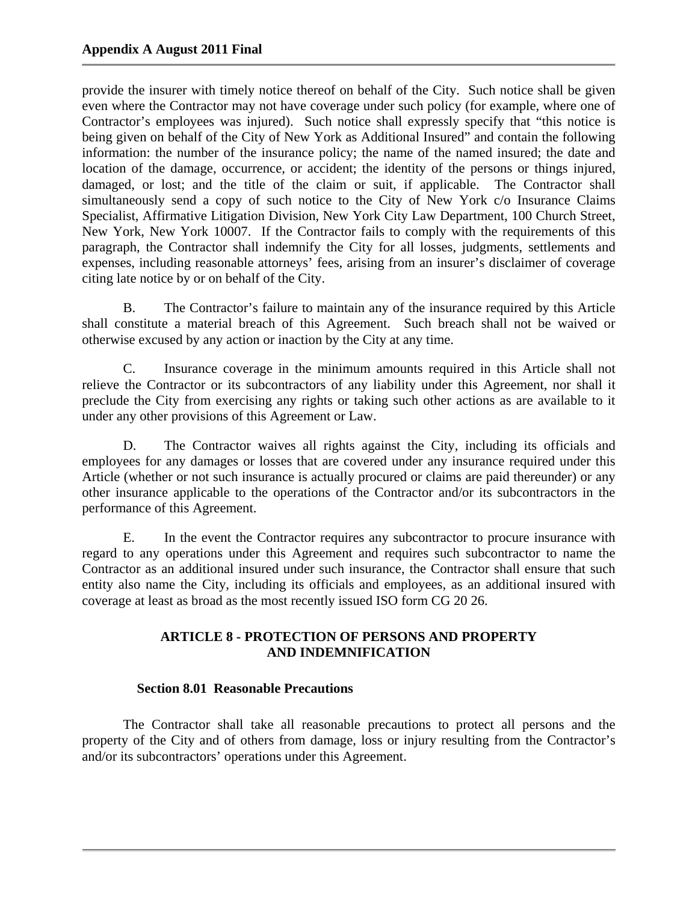provide the insurer with timely notice thereof on behalf of the City. Such notice shall be given even where the Contractor may not have coverage under such policy (for example, where one of Contractor's employees was injured). Such notice shall expressly specify that "this notice is being given on behalf of the City of New York as Additional Insured" and contain the following information: the number of the insurance policy; the name of the named insured; the date and location of the damage, occurrence, or accident; the identity of the persons or things injured, damaged, or lost; and the title of the claim or suit, if applicable. The Contractor shall simultaneously send a copy of such notice to the City of New York c/o Insurance Claims Specialist, Affirmative Litigation Division, New York City Law Department, 100 Church Street, New York, New York 10007. If the Contractor fails to comply with the requirements of this paragraph, the Contractor shall indemnify the City for all losses, judgments, settlements and expenses, including reasonable attorneys' fees, arising from an insurer's disclaimer of coverage citing late notice by or on behalf of the City.

B. The Contractor's failure to maintain any of the insurance required by this Article shall constitute a material breach of this Agreement. Such breach shall not be waived or otherwise excused by any action or inaction by the City at any time.

C. Insurance coverage in the minimum amounts required in this Article shall not relieve the Contractor or its subcontractors of any liability under this Agreement, nor shall it preclude the City from exercising any rights or taking such other actions as are available to it under any other provisions of this Agreement or Law.

D. The Contractor waives all rights against the City, including its officials and employees for any damages or losses that are covered under any insurance required under this Article (whether or not such insurance is actually procured or claims are paid thereunder) or any other insurance applicable to the operations of the Contractor and/or its subcontractors in the performance of this Agreement.

E. In the event the Contractor requires any subcontractor to procure insurance with regard to any operations under this Agreement and requires such subcontractor to name the Contractor as an additional insured under such insurance, the Contractor shall ensure that such entity also name the City, including its officials and employees, as an additional insured with coverage at least as broad as the most recently issued ISO form CG 20 26.

# **ARTICLE 8 - PROTECTION OF PERSONS AND PROPERTY AND INDEMNIFICATION**

## **Section 8.01 Reasonable Precautions**

The Contractor shall take all reasonable precautions to protect all persons and the property of the City and of others from damage, loss or injury resulting from the Contractor's and/or its subcontractors' operations under this Agreement.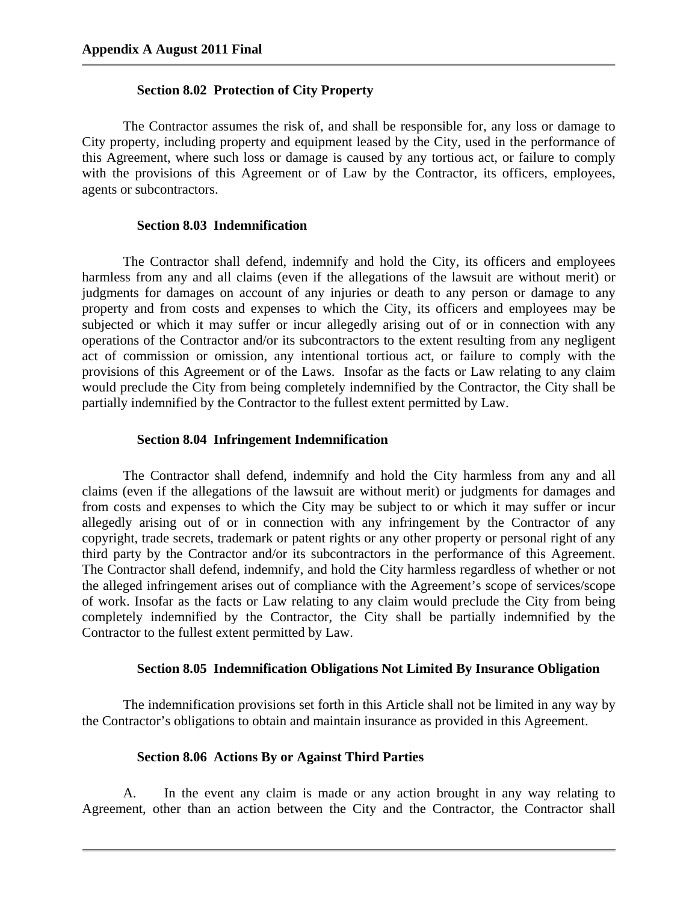#### **Section 8.02 Protection of City Property**

The Contractor assumes the risk of, and shall be responsible for, any loss or damage to City property, including property and equipment leased by the City, used in the performance of this Agreement, where such loss or damage is caused by any tortious act, or failure to comply with the provisions of this Agreement or of Law by the Contractor, its officers, employees, agents or subcontractors.

### **Section 8.03 Indemnification**

The Contractor shall defend, indemnify and hold the City, its officers and employees harmless from any and all claims (even if the allegations of the lawsuit are without merit) or judgments for damages on account of any injuries or death to any person or damage to any property and from costs and expenses to which the City, its officers and employees may be subjected or which it may suffer or incur allegedly arising out of or in connection with any operations of the Contractor and/or its subcontractors to the extent resulting from any negligent act of commission or omission, any intentional tortious act, or failure to comply with the provisions of this Agreement or of the Laws. Insofar as the facts or Law relating to any claim would preclude the City from being completely indemnified by the Contractor, the City shall be partially indemnified by the Contractor to the fullest extent permitted by Law.

#### **Section 8.04 Infringement Indemnification**

The Contractor shall defend, indemnify and hold the City harmless from any and all claims (even if the allegations of the lawsuit are without merit) or judgments for damages and from costs and expenses to which the City may be subject to or which it may suffer or incur allegedly arising out of or in connection with any infringement by the Contractor of any copyright, trade secrets, trademark or patent rights or any other property or personal right of any third party by the Contractor and/or its subcontractors in the performance of this Agreement. The Contractor shall defend, indemnify, and hold the City harmless regardless of whether or not the alleged infringement arises out of compliance with the Agreement's scope of services/scope of work. Insofar as the facts or Law relating to any claim would preclude the City from being completely indemnified by the Contractor, the City shall be partially indemnified by the Contractor to the fullest extent permitted by Law.

#### **Section 8.05 Indemnification Obligations Not Limited By Insurance Obligation**

The indemnification provisions set forth in this Article shall not be limited in any way by the Contractor's obligations to obtain and maintain insurance as provided in this Agreement.

#### **Section 8.06 Actions By or Against Third Parties**

A. In the event any claim is made or any action brought in any way relating to Agreement, other than an action between the City and the Contractor, the Contractor shall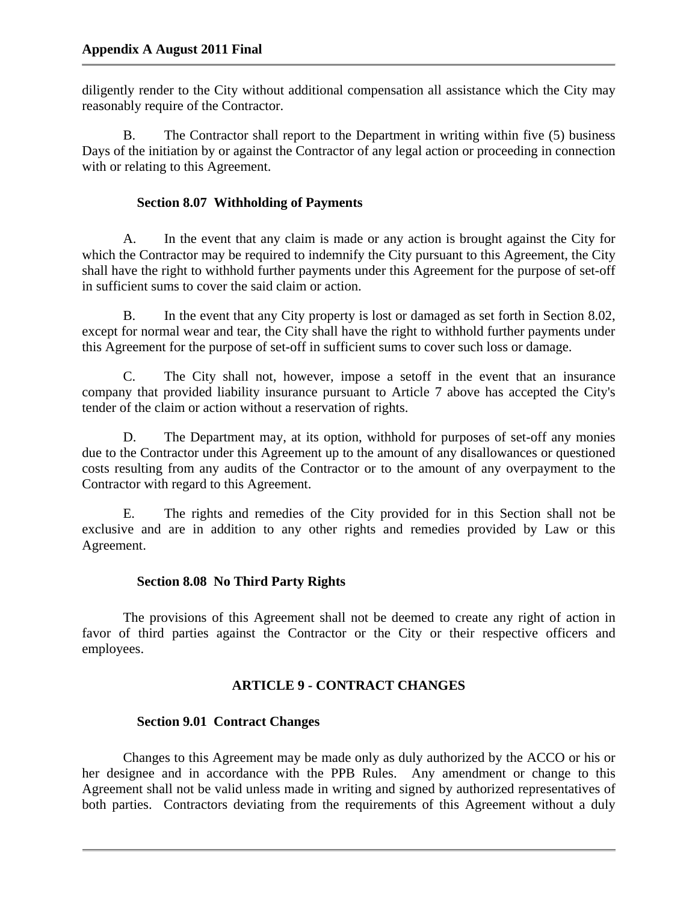diligently render to the City without additional compensation all assistance which the City may reasonably require of the Contractor.

B. The Contractor shall report to the Department in writing within five (5) business Days of the initiation by or against the Contractor of any legal action or proceeding in connection with or relating to this Agreement.

## **Section 8.07 Withholding of Payments**

A. In the event that any claim is made or any action is brought against the City for which the Contractor may be required to indemnify the City pursuant to this Agreement, the City shall have the right to withhold further payments under this Agreement for the purpose of set-off in sufficient sums to cover the said claim or action.

B. In the event that any City property is lost or damaged as set forth in Section 8.02, except for normal wear and tear, the City shall have the right to withhold further payments under this Agreement for the purpose of set-off in sufficient sums to cover such loss or damage.

C. The City shall not, however, impose a setoff in the event that an insurance company that provided liability insurance pursuant to Article 7 above has accepted the City's tender of the claim or action without a reservation of rights.

D. The Department may, at its option, withhold for purposes of set-off any monies due to the Contractor under this Agreement up to the amount of any disallowances or questioned costs resulting from any audits of the Contractor or to the amount of any overpayment to the Contractor with regard to this Agreement.

E. The rights and remedies of the City provided for in this Section shall not be exclusive and are in addition to any other rights and remedies provided by Law or this Agreement.

## **Section 8.08 No Third Party Rights**

The provisions of this Agreement shall not be deemed to create any right of action in favor of third parties against the Contractor or the City or their respective officers and employees.

# **ARTICLE 9 - CONTRACT CHANGES**

# **Section 9.01 Contract Changes**

Changes to this Agreement may be made only as duly authorized by the ACCO or his or her designee and in accordance with the PPB Rules. Any amendment or change to this Agreement shall not be valid unless made in writing and signed by authorized representatives of both parties. Contractors deviating from the requirements of this Agreement without a duly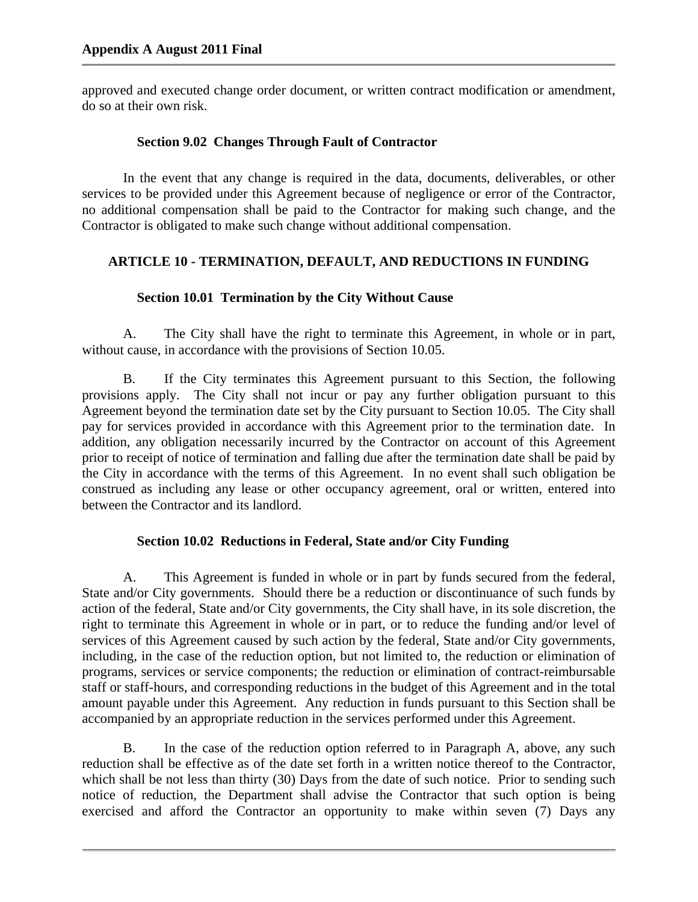approved and executed change order document, or written contract modification or amendment, do so at their own risk.

## **Section 9.02 Changes Through Fault of Contractor**

In the event that any change is required in the data, documents, deliverables, or other services to be provided under this Agreement because of negligence or error of the Contractor, no additional compensation shall be paid to the Contractor for making such change, and the Contractor is obligated to make such change without additional compensation.

## **ARTICLE 10 - TERMINATION, DEFAULT, AND REDUCTIONS IN FUNDING**

# **Section 10.01 Termination by the City Without Cause**

A. The City shall have the right to terminate this Agreement, in whole or in part, without cause, in accordance with the provisions of Section 10.05.

B. If the City terminates this Agreement pursuant to this Section, the following provisions apply. The City shall not incur or pay any further obligation pursuant to this Agreement beyond the termination date set by the City pursuant to Section 10.05. The City shall pay for services provided in accordance with this Agreement prior to the termination date. In addition, any obligation necessarily incurred by the Contractor on account of this Agreement prior to receipt of notice of termination and falling due after the termination date shall be paid by the City in accordance with the terms of this Agreement. In no event shall such obligation be construed as including any lease or other occupancy agreement, oral or written, entered into between the Contractor and its landlord.

# **Section 10.02 Reductions in Federal, State and/or City Funding**

A. This Agreement is funded in whole or in part by funds secured from the federal, State and/or City governments. Should there be a reduction or discontinuance of such funds by action of the federal, State and/or City governments, the City shall have, in its sole discretion, the right to terminate this Agreement in whole or in part, or to reduce the funding and/or level of services of this Agreement caused by such action by the federal, State and/or City governments, including, in the case of the reduction option, but not limited to, the reduction or elimination of programs, services or service components; the reduction or elimination of contract-reimbursable staff or staff-hours, and corresponding reductions in the budget of this Agreement and in the total amount payable under this Agreement. Any reduction in funds pursuant to this Section shall be accompanied by an appropriate reduction in the services performed under this Agreement.

B. In the case of the reduction option referred to in Paragraph A, above, any such reduction shall be effective as of the date set forth in a written notice thereof to the Contractor, which shall be not less than thirty (30) Days from the date of such notice. Prior to sending such notice of reduction, the Department shall advise the Contractor that such option is being exercised and afford the Contractor an opportunity to make within seven (7) Days any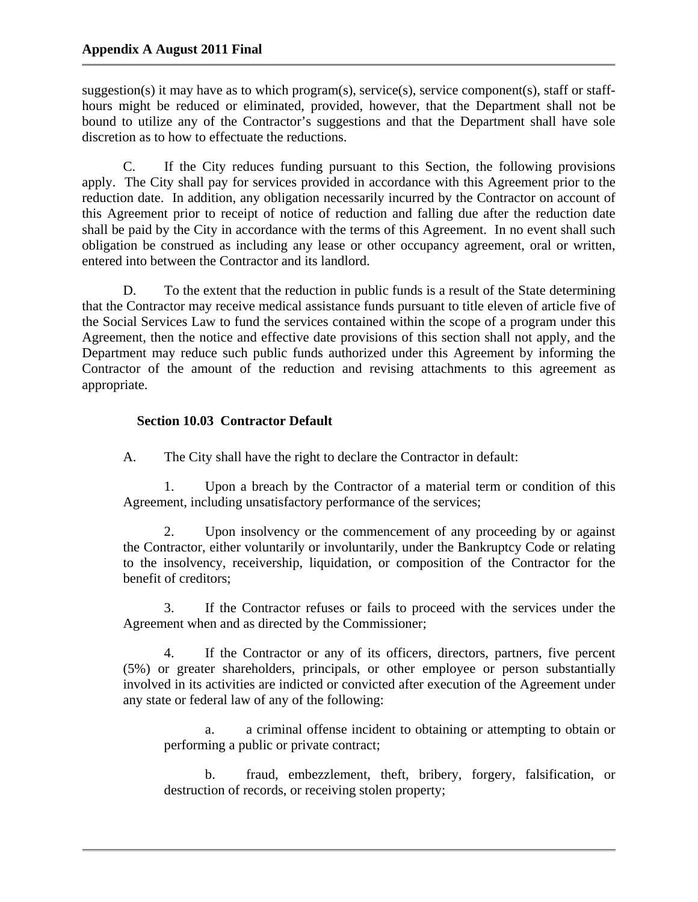suggestion(s) it may have as to which program(s), service(s), service component(s), staff or staffhours might be reduced or eliminated, provided, however, that the Department shall not be bound to utilize any of the Contractor's suggestions and that the Department shall have sole discretion as to how to effectuate the reductions.

C. If the City reduces funding pursuant to this Section, the following provisions apply. The City shall pay for services provided in accordance with this Agreement prior to the reduction date. In addition, any obligation necessarily incurred by the Contractor on account of this Agreement prior to receipt of notice of reduction and falling due after the reduction date shall be paid by the City in accordance with the terms of this Agreement. In no event shall such obligation be construed as including any lease or other occupancy agreement, oral or written, entered into between the Contractor and its landlord.

D. To the extent that the reduction in public funds is a result of the State determining that the Contractor may receive medical assistance funds pursuant to title eleven of article five of the Social Services Law to fund the services contained within the scope of a program under this Agreement, then the notice and effective date provisions of this section shall not apply, and the Department may reduce such public funds authorized under this Agreement by informing the Contractor of the amount of the reduction and revising attachments to this agreement as appropriate.

# **Section 10.03 Contractor Default**

A. The City shall have the right to declare the Contractor in default:

1. Upon a breach by the Contractor of a material term or condition of this Agreement, including unsatisfactory performance of the services;

2. Upon insolvency or the commencement of any proceeding by or against the Contractor, either voluntarily or involuntarily, under the Bankruptcy Code or relating to the insolvency, receivership, liquidation, or composition of the Contractor for the benefit of creditors;

3. If the Contractor refuses or fails to proceed with the services under the Agreement when and as directed by the Commissioner;

4. If the Contractor or any of its officers, directors, partners, five percent (5%) or greater shareholders, principals, or other employee or person substantially involved in its activities are indicted or convicted after execution of the Agreement under any state or federal law of any of the following:

a. a criminal offense incident to obtaining or attempting to obtain or performing a public or private contract;

b. fraud, embezzlement, theft, bribery, forgery, falsification, or destruction of records, or receiving stolen property;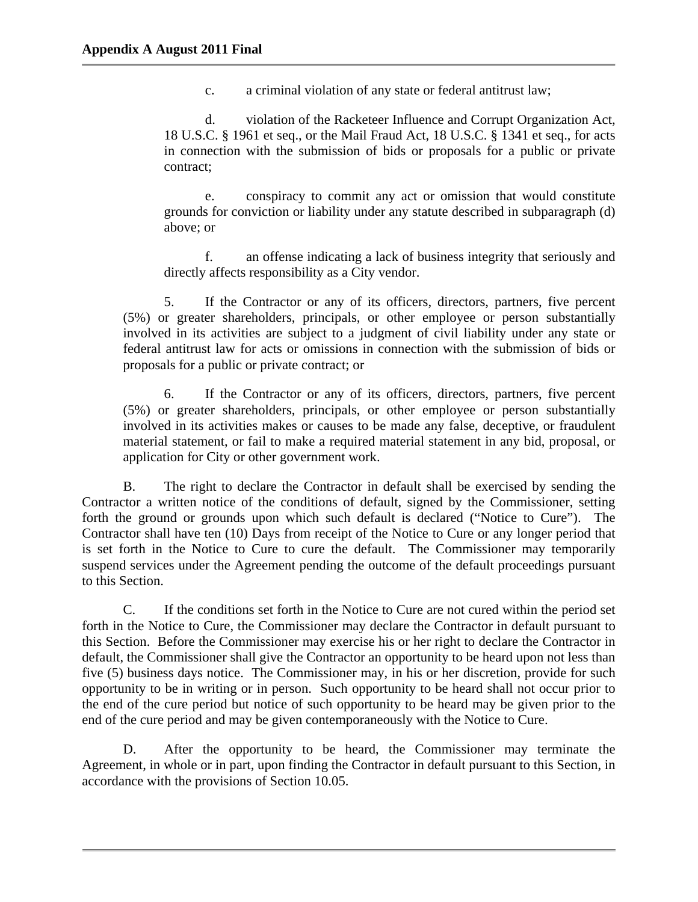c. a criminal violation of any state or federal antitrust law;

d. violation of the Racketeer Influence and Corrupt Organization Act, 18 U.S.C. § 1961 et seq., or the Mail Fraud Act, 18 U.S.C. § 1341 et seq., for acts in connection with the submission of bids or proposals for a public or private contract;

e. conspiracy to commit any act or omission that would constitute grounds for conviction or liability under any statute described in subparagraph (d) above; or

f. an offense indicating a lack of business integrity that seriously and directly affects responsibility as a City vendor.

5. If the Contractor or any of its officers, directors, partners, five percent (5%) or greater shareholders, principals, or other employee or person substantially involved in its activities are subject to a judgment of civil liability under any state or federal antitrust law for acts or omissions in connection with the submission of bids or proposals for a public or private contract; or

6. If the Contractor or any of its officers, directors, partners, five percent (5%) or greater shareholders, principals, or other employee or person substantially involved in its activities makes or causes to be made any false, deceptive, or fraudulent material statement, or fail to make a required material statement in any bid, proposal, or application for City or other government work.

B. The right to declare the Contractor in default shall be exercised by sending the Contractor a written notice of the conditions of default, signed by the Commissioner, setting forth the ground or grounds upon which such default is declared ("Notice to Cure"). The Contractor shall have ten (10) Days from receipt of the Notice to Cure or any longer period that is set forth in the Notice to Cure to cure the default. The Commissioner may temporarily suspend services under the Agreement pending the outcome of the default proceedings pursuant to this Section.

C. If the conditions set forth in the Notice to Cure are not cured within the period set forth in the Notice to Cure, the Commissioner may declare the Contractor in default pursuant to this Section. Before the Commissioner may exercise his or her right to declare the Contractor in default, the Commissioner shall give the Contractor an opportunity to be heard upon not less than five (5) business days notice. The Commissioner may, in his or her discretion, provide for such opportunity to be in writing or in person. Such opportunity to be heard shall not occur prior to the end of the cure period but notice of such opportunity to be heard may be given prior to the end of the cure period and may be given contemporaneously with the Notice to Cure.

D. After the opportunity to be heard, the Commissioner may terminate the Agreement, in whole or in part, upon finding the Contractor in default pursuant to this Section, in accordance with the provisions of Section 10.05.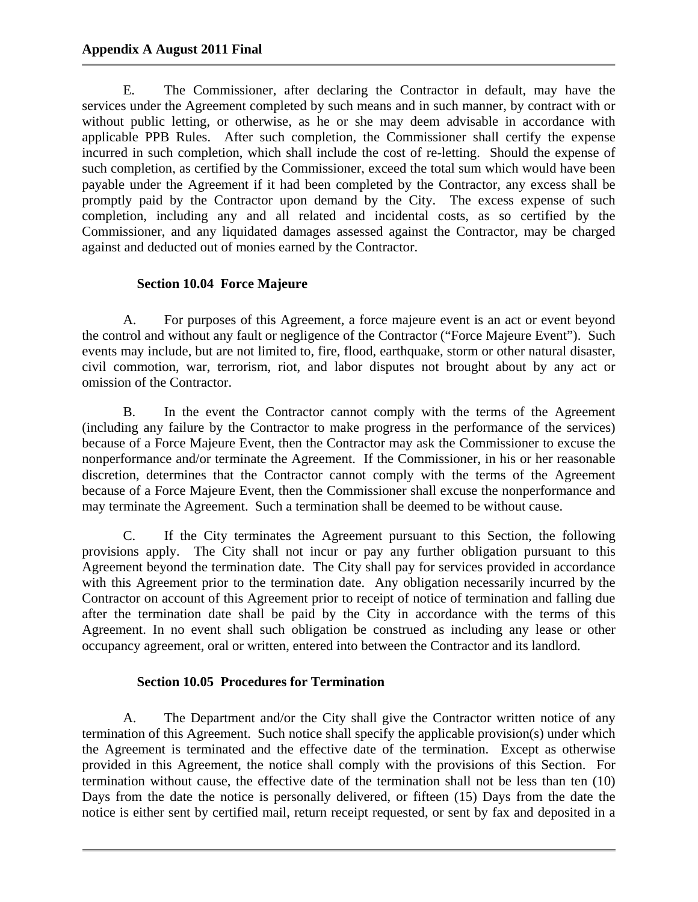E. The Commissioner, after declaring the Contractor in default, may have the services under the Agreement completed by such means and in such manner, by contract with or without public letting, or otherwise, as he or she may deem advisable in accordance with applicable PPB Rules. After such completion, the Commissioner shall certify the expense incurred in such completion, which shall include the cost of re-letting. Should the expense of such completion, as certified by the Commissioner, exceed the total sum which would have been payable under the Agreement if it had been completed by the Contractor, any excess shall be promptly paid by the Contractor upon demand by the City. The excess expense of such completion, including any and all related and incidental costs, as so certified by the Commissioner, and any liquidated damages assessed against the Contractor, may be charged against and deducted out of monies earned by the Contractor.

# **Section 10.04 Force Majeure**

A. For purposes of this Agreement, a force majeure event is an act or event beyond the control and without any fault or negligence of the Contractor ("Force Majeure Event"). Such events may include, but are not limited to, fire, flood, earthquake, storm or other natural disaster, civil commotion, war, terrorism, riot, and labor disputes not brought about by any act or omission of the Contractor.

B. In the event the Contractor cannot comply with the terms of the Agreement (including any failure by the Contractor to make progress in the performance of the services) because of a Force Majeure Event, then the Contractor may ask the Commissioner to excuse the nonperformance and/or terminate the Agreement. If the Commissioner, in his or her reasonable discretion, determines that the Contractor cannot comply with the terms of the Agreement because of a Force Majeure Event, then the Commissioner shall excuse the nonperformance and may terminate the Agreement. Such a termination shall be deemed to be without cause.

C. If the City terminates the Agreement pursuant to this Section, the following provisions apply. The City shall not incur or pay any further obligation pursuant to this Agreement beyond the termination date. The City shall pay for services provided in accordance with this Agreement prior to the termination date. Any obligation necessarily incurred by the Contractor on account of this Agreement prior to receipt of notice of termination and falling due after the termination date shall be paid by the City in accordance with the terms of this Agreement. In no event shall such obligation be construed as including any lease or other occupancy agreement, oral or written, entered into between the Contractor and its landlord.

# **Section 10.05 Procedures for Termination**

A. The Department and/or the City shall give the Contractor written notice of any termination of this Agreement. Such notice shall specify the applicable provision(s) under which the Agreement is terminated and the effective date of the termination. Except as otherwise provided in this Agreement, the notice shall comply with the provisions of this Section. For termination without cause, the effective date of the termination shall not be less than ten (10) Days from the date the notice is personally delivered, or fifteen (15) Days from the date the notice is either sent by certified mail, return receipt requested, or sent by fax and deposited in a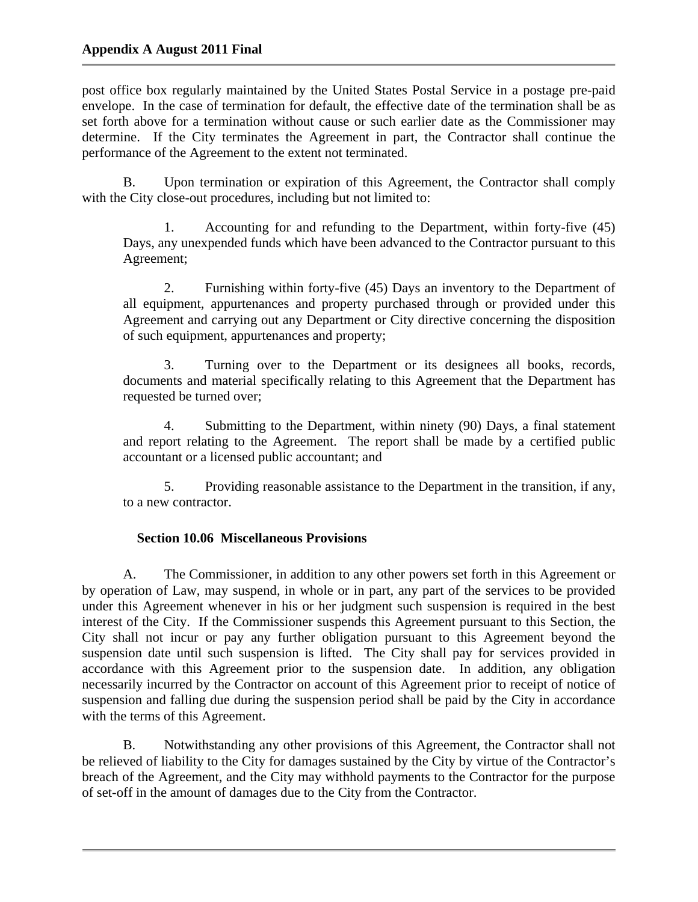post office box regularly maintained by the United States Postal Service in a postage pre-paid envelope. In the case of termination for default, the effective date of the termination shall be as set forth above for a termination without cause or such earlier date as the Commissioner may determine. If the City terminates the Agreement in part, the Contractor shall continue the performance of the Agreement to the extent not terminated.

B. Upon termination or expiration of this Agreement, the Contractor shall comply with the City close-out procedures, including but not limited to:

1. Accounting for and refunding to the Department, within forty-five (45) Days, any unexpended funds which have been advanced to the Contractor pursuant to this Agreement;

2. Furnishing within forty-five (45) Days an inventory to the Department of all equipment, appurtenances and property purchased through or provided under this Agreement and carrying out any Department or City directive concerning the disposition of such equipment, appurtenances and property;

3. Turning over to the Department or its designees all books, records, documents and material specifically relating to this Agreement that the Department has requested be turned over;

4. Submitting to the Department, within ninety (90) Days, a final statement and report relating to the Agreement. The report shall be made by a certified public accountant or a licensed public accountant; and

5. Providing reasonable assistance to the Department in the transition, if any, to a new contractor.

# **Section 10.06 Miscellaneous Provisions**

A. The Commissioner, in addition to any other powers set forth in this Agreement or by operation of Law, may suspend, in whole or in part, any part of the services to be provided under this Agreement whenever in his or her judgment such suspension is required in the best interest of the City. If the Commissioner suspends this Agreement pursuant to this Section, the City shall not incur or pay any further obligation pursuant to this Agreement beyond the suspension date until such suspension is lifted. The City shall pay for services provided in accordance with this Agreement prior to the suspension date. In addition, any obligation necessarily incurred by the Contractor on account of this Agreement prior to receipt of notice of suspension and falling due during the suspension period shall be paid by the City in accordance with the terms of this Agreement.

B. Notwithstanding any other provisions of this Agreement, the Contractor shall not be relieved of liability to the City for damages sustained by the City by virtue of the Contractor's breach of the Agreement, and the City may withhold payments to the Contractor for the purpose of set-off in the amount of damages due to the City from the Contractor.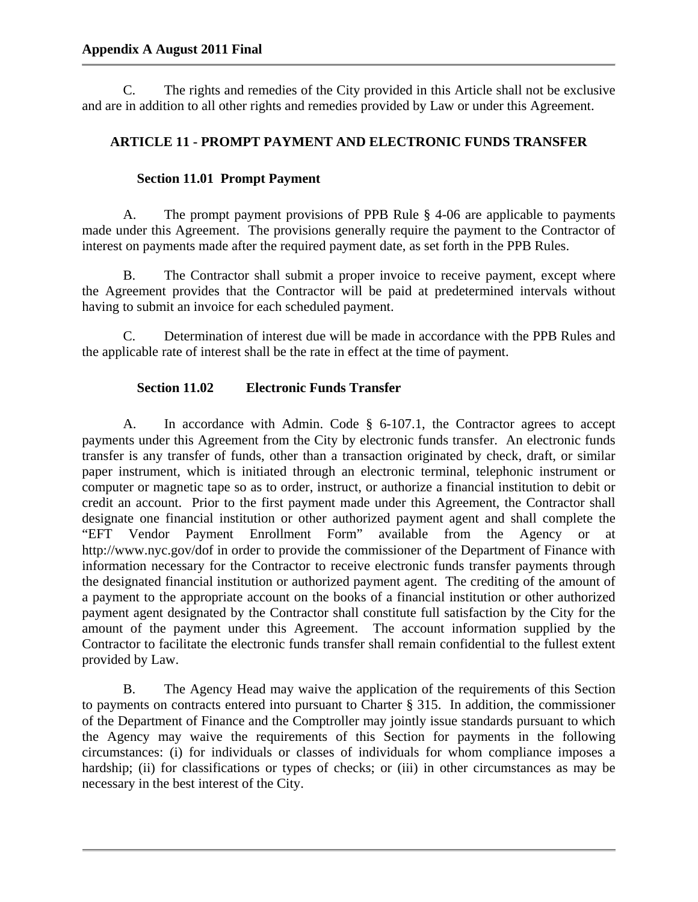C. The rights and remedies of the City provided in this Article shall not be exclusive and are in addition to all other rights and remedies provided by Law or under this Agreement.

## **ARTICLE 11 - PROMPT PAYMENT AND ELECTRONIC FUNDS TRANSFER**

## **Section 11.01 Prompt Payment**

A. The prompt payment provisions of PPB Rule § 4-06 are applicable to payments made under this Agreement. The provisions generally require the payment to the Contractor of interest on payments made after the required payment date, as set forth in the PPB Rules.

B. The Contractor shall submit a proper invoice to receive payment, except where the Agreement provides that the Contractor will be paid at predetermined intervals without having to submit an invoice for each scheduled payment.

C. Determination of interest due will be made in accordance with the PPB Rules and the applicable rate of interest shall be the rate in effect at the time of payment.

## **Section 11.02 Electronic Funds Transfer**

A. In accordance with Admin. Code § 6-107.1, the Contractor agrees to accept payments under this Agreement from the City by electronic funds transfer. An electronic funds transfer is any transfer of funds, other than a transaction originated by check, draft, or similar paper instrument, which is initiated through an electronic terminal, telephonic instrument or computer or magnetic tape so as to order, instruct, or authorize a financial institution to debit or credit an account. Prior to the first payment made under this Agreement, the Contractor shall designate one financial institution or other authorized payment agent and shall complete the "EFT Vendor Payment Enrollment Form" available from the Agency or at http://www.nyc.gov/dof in order to provide the commissioner of the Department of Finance with information necessary for the Contractor to receive electronic funds transfer payments through the designated financial institution or authorized payment agent. The crediting of the amount of a payment to the appropriate account on the books of a financial institution or other authorized payment agent designated by the Contractor shall constitute full satisfaction by the City for the amount of the payment under this Agreement. The account information supplied by the Contractor to facilitate the electronic funds transfer shall remain confidential to the fullest extent provided by Law.

B. The Agency Head may waive the application of the requirements of this Section to payments on contracts entered into pursuant to Charter § 315. In addition, the commissioner of the Department of Finance and the Comptroller may jointly issue standards pursuant to which the Agency may waive the requirements of this Section for payments in the following circumstances: (i) for individuals or classes of individuals for whom compliance imposes a hardship; (ii) for classifications or types of checks; or (iii) in other circumstances as may be necessary in the best interest of the City.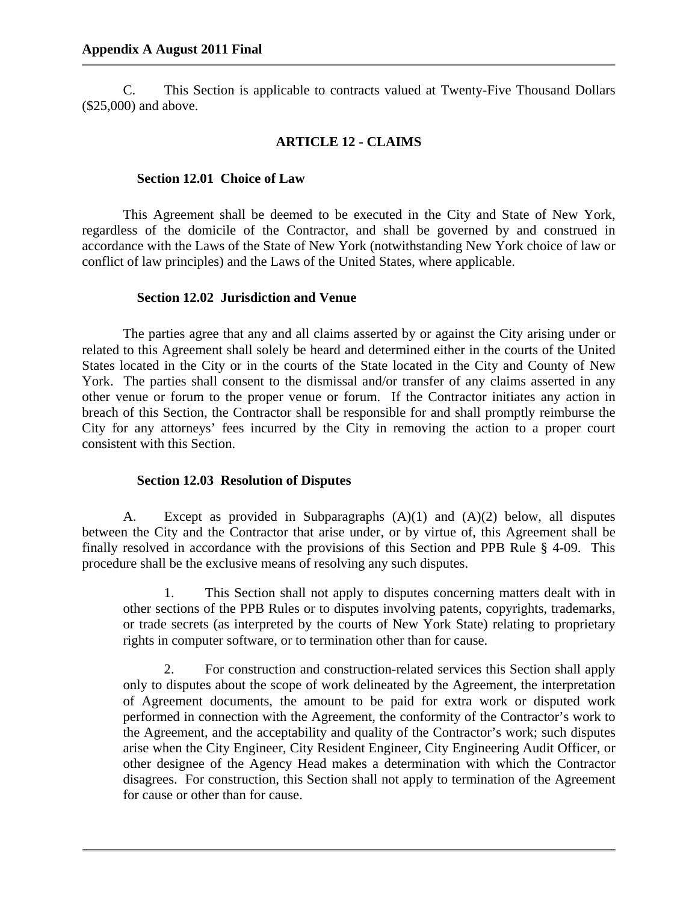C. This Section is applicable to contracts valued at Twenty-Five Thousand Dollars (\$25,000) and above.

#### **ARTICLE 12 - CLAIMS**

#### **Section 12.01 Choice of Law**

This Agreement shall be deemed to be executed in the City and State of New York, regardless of the domicile of the Contractor, and shall be governed by and construed in accordance with the Laws of the State of New York (notwithstanding New York choice of law or conflict of law principles) and the Laws of the United States, where applicable.

#### **Section 12.02 Jurisdiction and Venue**

The parties agree that any and all claims asserted by or against the City arising under or related to this Agreement shall solely be heard and determined either in the courts of the United States located in the City or in the courts of the State located in the City and County of New York. The parties shall consent to the dismissal and/or transfer of any claims asserted in any other venue or forum to the proper venue or forum. If the Contractor initiates any action in breach of this Section, the Contractor shall be responsible for and shall promptly reimburse the City for any attorneys' fees incurred by the City in removing the action to a proper court consistent with this Section.

#### **Section 12.03 Resolution of Disputes**

A. Except as provided in Subparagraphs (A)(1) and (A)(2) below, all disputes between the City and the Contractor that arise under, or by virtue of, this Agreement shall be finally resolved in accordance with the provisions of this Section and PPB Rule § 4-09. This procedure shall be the exclusive means of resolving any such disputes.

1. This Section shall not apply to disputes concerning matters dealt with in other sections of the PPB Rules or to disputes involving patents, copyrights, trademarks, or trade secrets (as interpreted by the courts of New York State) relating to proprietary rights in computer software, or to termination other than for cause.

2. For construction and construction-related services this Section shall apply only to disputes about the scope of work delineated by the Agreement, the interpretation of Agreement documents, the amount to be paid for extra work or disputed work performed in connection with the Agreement, the conformity of the Contractor's work to the Agreement, and the acceptability and quality of the Contractor's work; such disputes arise when the City Engineer, City Resident Engineer, City Engineering Audit Officer, or other designee of the Agency Head makes a determination with which the Contractor disagrees. For construction, this Section shall not apply to termination of the Agreement for cause or other than for cause.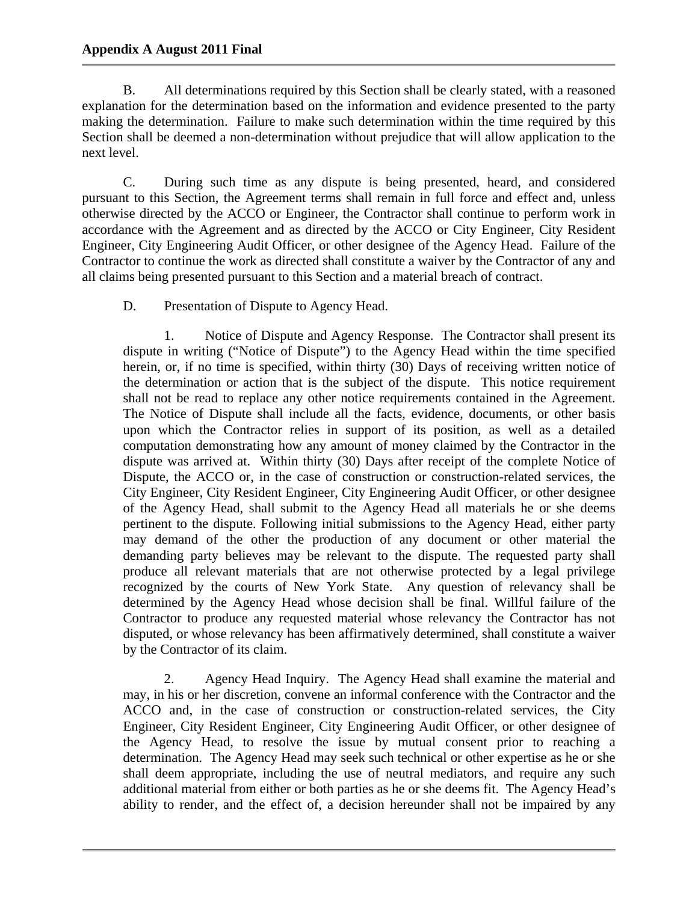## **Appendix A August 2011 Final**

B. All determinations required by this Section shall be clearly stated, with a reasoned explanation for the determination based on the information and evidence presented to the party making the determination. Failure to make such determination within the time required by this Section shall be deemed a non-determination without prejudice that will allow application to the next level.

C. During such time as any dispute is being presented, heard, and considered pursuant to this Section, the Agreement terms shall remain in full force and effect and, unless otherwise directed by the ACCO or Engineer, the Contractor shall continue to perform work in accordance with the Agreement and as directed by the ACCO or City Engineer, City Resident Engineer, City Engineering Audit Officer, or other designee of the Agency Head. Failure of the Contractor to continue the work as directed shall constitute a waiver by the Contractor of any and all claims being presented pursuant to this Section and a material breach of contract.

D. Presentation of Dispute to Agency Head.

1. Notice of Dispute and Agency Response. The Contractor shall present its dispute in writing ("Notice of Dispute") to the Agency Head within the time specified herein, or, if no time is specified, within thirty (30) Days of receiving written notice of the determination or action that is the subject of the dispute. This notice requirement shall not be read to replace any other notice requirements contained in the Agreement. The Notice of Dispute shall include all the facts, evidence, documents, or other basis upon which the Contractor relies in support of its position, as well as a detailed computation demonstrating how any amount of money claimed by the Contractor in the dispute was arrived at. Within thirty (30) Days after receipt of the complete Notice of Dispute, the ACCO or, in the case of construction or construction-related services, the City Engineer, City Resident Engineer, City Engineering Audit Officer, or other designee of the Agency Head, shall submit to the Agency Head all materials he or she deems pertinent to the dispute. Following initial submissions to the Agency Head, either party may demand of the other the production of any document or other material the demanding party believes may be relevant to the dispute. The requested party shall produce all relevant materials that are not otherwise protected by a legal privilege recognized by the courts of New York State. Any question of relevancy shall be determined by the Agency Head whose decision shall be final. Willful failure of the Contractor to produce any requested material whose relevancy the Contractor has not disputed, or whose relevancy has been affirmatively determined, shall constitute a waiver by the Contractor of its claim.

2. Agency Head Inquiry. The Agency Head shall examine the material and may, in his or her discretion, convene an informal conference with the Contractor and the ACCO and, in the case of construction or construction-related services, the City Engineer, City Resident Engineer, City Engineering Audit Officer, or other designee of the Agency Head, to resolve the issue by mutual consent prior to reaching a determination. The Agency Head may seek such technical or other expertise as he or she shall deem appropriate, including the use of neutral mediators, and require any such additional material from either or both parties as he or she deems fit. The Agency Head's ability to render, and the effect of, a decision hereunder shall not be impaired by any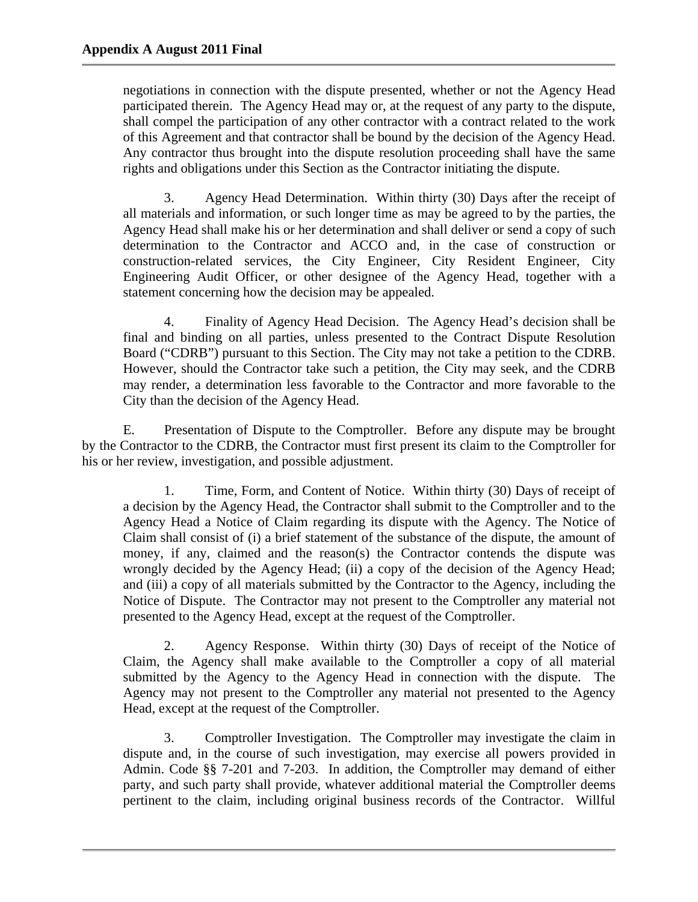negotiations in connection with the dispute presented, whether or not the Agency Head participated therein. The Agency Head may or, at the request of any party to the dispute, shall compel the participation of any other contractor with a contract related to the work of this Agreement and that contractor shall be bound by the decision of the Agency Head. Any contractor thus brought into the dispute resolution proceeding shall have the same rights and obligations under this Section as the Contractor initiating the dispute.

3. Agency Head Determination. Within thirty (30) Days after the receipt of all materials and information, or such longer time as may be agreed to by the parties, the Agency Head shall make his or her determination and shall deliver or send a copy of such determination to the Contractor and ACCO and, in the case of construction or construction-related services, the City Engineer, City Resident Engineer, City Engineering Audit Officer, or other designee of the Agency Head, together with a statement concerning how the decision may be appealed.

4. Finality of Agency Head Decision. The Agency Head's decision shall be final and binding on all parties, unless presented to the Contract Dispute Resolution Board ("CDRB") pursuant to this Section. The City may not take a petition to the CDRB. However, should the Contractor take such a petition, the City may seek, and the CDRB may render, a determination less favorable to the Contractor and more favorable to the City than the decision of the Agency Head.

E. Presentation of Dispute to the Comptroller. Before any dispute may be brought by the Contractor to the CDRB, the Contractor must first present its claim to the Comptroller for his or her review, investigation, and possible adjustment.

1. Time, Form, and Content of Notice. Within thirty (30) Days of receipt of a decision by the Agency Head, the Contractor shall submit to the Comptroller and to the Agency Head a Notice of Claim regarding its dispute with the Agency. The Notice of Claim shall consist of (i) a brief statement of the substance of the dispute, the amount of money, if any, claimed and the reason(s) the Contractor contends the dispute was wrongly decided by the Agency Head; (ii) a copy of the decision of the Agency Head; and (iii) a copy of all materials submitted by the Contractor to the Agency, including the Notice of Dispute. The Contractor may not present to the Comptroller any material not presented to the Agency Head, except at the request of the Comptroller.

2. Agency Response. Within thirty (30) Days of receipt of the Notice of Claim, the Agency shall make available to the Comptroller a copy of all material submitted by the Agency to the Agency Head in connection with the dispute. The Agency may not present to the Comptroller any material not presented to the Agency Head, except at the request of the Comptroller.

3. Comptroller Investigation. The Comptroller may investigate the claim in dispute and, in the course of such investigation, may exercise all powers provided in Admin. Code §§ 7-201 and 7-203. In addition, the Comptroller may demand of either party, and such party shall provide, whatever additional material the Comptroller deems pertinent to the claim, including original business records of the Contractor. Willful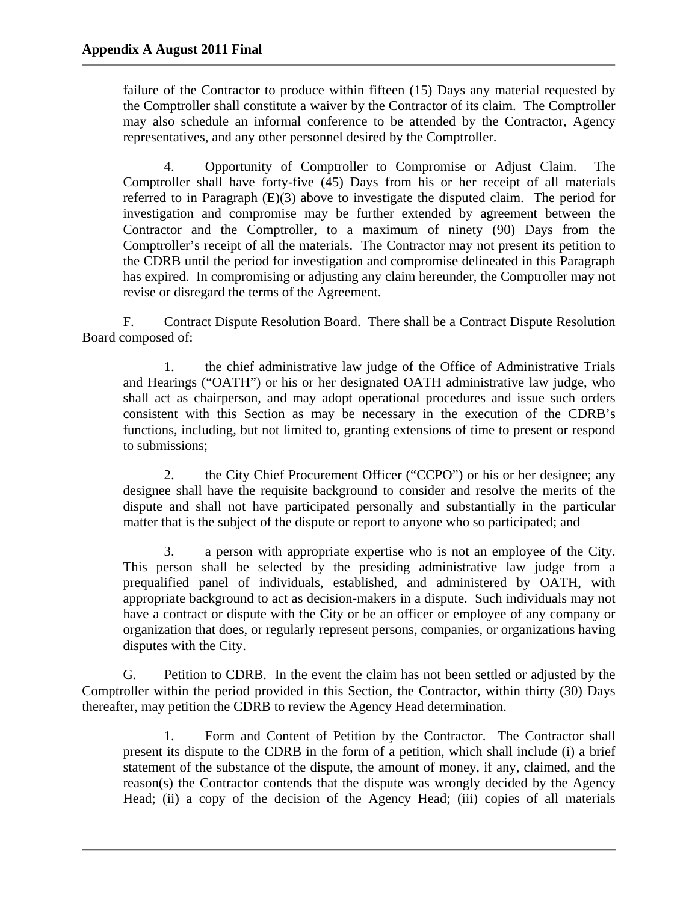failure of the Contractor to produce within fifteen (15) Days any material requested by the Comptroller shall constitute a waiver by the Contractor of its claim. The Comptroller may also schedule an informal conference to be attended by the Contractor, Agency representatives, and any other personnel desired by the Comptroller.

4. Opportunity of Comptroller to Compromise or Adjust Claim. The Comptroller shall have forty-five (45) Days from his or her receipt of all materials referred to in Paragraph (E)(3) above to investigate the disputed claim. The period for investigation and compromise may be further extended by agreement between the Contractor and the Comptroller, to a maximum of ninety (90) Days from the Comptroller's receipt of all the materials. The Contractor may not present its petition to the CDRB until the period for investigation and compromise delineated in this Paragraph has expired. In compromising or adjusting any claim hereunder, the Comptroller may not revise or disregard the terms of the Agreement.

F. Contract Dispute Resolution Board. There shall be a Contract Dispute Resolution Board composed of:

1. the chief administrative law judge of the Office of Administrative Trials and Hearings ("OATH") or his or her designated OATH administrative law judge, who shall act as chairperson, and may adopt operational procedures and issue such orders consistent with this Section as may be necessary in the execution of the CDRB's functions, including, but not limited to, granting extensions of time to present or respond to submissions;

2. the City Chief Procurement Officer ("CCPO") or his or her designee; any designee shall have the requisite background to consider and resolve the merits of the dispute and shall not have participated personally and substantially in the particular matter that is the subject of the dispute or report to anyone who so participated; and

3. a person with appropriate expertise who is not an employee of the City. This person shall be selected by the presiding administrative law judge from a prequalified panel of individuals, established, and administered by OATH, with appropriate background to act as decision-makers in a dispute. Such individuals may not have a contract or dispute with the City or be an officer or employee of any company or organization that does, or regularly represent persons, companies, or organizations having disputes with the City.

G. Petition to CDRB. In the event the claim has not been settled or adjusted by the Comptroller within the period provided in this Section, the Contractor, within thirty (30) Days thereafter, may petition the CDRB to review the Agency Head determination.

1. Form and Content of Petition by the Contractor. The Contractor shall present its dispute to the CDRB in the form of a petition, which shall include (i) a brief statement of the substance of the dispute, the amount of money, if any, claimed, and the reason(s) the Contractor contends that the dispute was wrongly decided by the Agency Head; (ii) a copy of the decision of the Agency Head; (iii) copies of all materials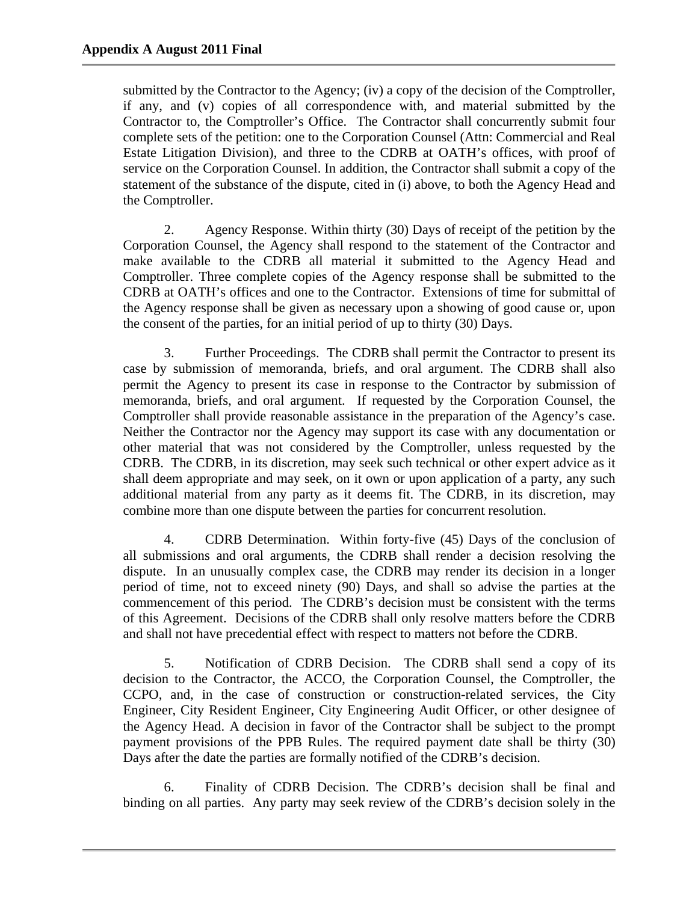submitted by the Contractor to the Agency; (iv) a copy of the decision of the Comptroller, if any, and (v) copies of all correspondence with, and material submitted by the Contractor to, the Comptroller's Office. The Contractor shall concurrently submit four complete sets of the petition: one to the Corporation Counsel (Attn: Commercial and Real Estate Litigation Division), and three to the CDRB at OATH's offices, with proof of service on the Corporation Counsel. In addition, the Contractor shall submit a copy of the statement of the substance of the dispute, cited in (i) above, to both the Agency Head and the Comptroller.

2. Agency Response. Within thirty (30) Days of receipt of the petition by the Corporation Counsel, the Agency shall respond to the statement of the Contractor and make available to the CDRB all material it submitted to the Agency Head and Comptroller. Three complete copies of the Agency response shall be submitted to the CDRB at OATH's offices and one to the Contractor. Extensions of time for submittal of the Agency response shall be given as necessary upon a showing of good cause or, upon the consent of the parties, for an initial period of up to thirty (30) Days.

3. Further Proceedings. The CDRB shall permit the Contractor to present its case by submission of memoranda, briefs, and oral argument. The CDRB shall also permit the Agency to present its case in response to the Contractor by submission of memoranda, briefs, and oral argument. If requested by the Corporation Counsel, the Comptroller shall provide reasonable assistance in the preparation of the Agency's case. Neither the Contractor nor the Agency may support its case with any documentation or other material that was not considered by the Comptroller, unless requested by the CDRB. The CDRB, in its discretion, may seek such technical or other expert advice as it shall deem appropriate and may seek, on it own or upon application of a party, any such additional material from any party as it deems fit. The CDRB, in its discretion, may combine more than one dispute between the parties for concurrent resolution.

4. CDRB Determination. Within forty-five (45) Days of the conclusion of all submissions and oral arguments, the CDRB shall render a decision resolving the dispute. In an unusually complex case, the CDRB may render its decision in a longer period of time, not to exceed ninety (90) Days, and shall so advise the parties at the commencement of this period. The CDRB's decision must be consistent with the terms of this Agreement. Decisions of the CDRB shall only resolve matters before the CDRB and shall not have precedential effect with respect to matters not before the CDRB.

5. Notification of CDRB Decision. The CDRB shall send a copy of its decision to the Contractor, the ACCO, the Corporation Counsel, the Comptroller, the CCPO, and, in the case of construction or construction-related services, the City Engineer, City Resident Engineer, City Engineering Audit Officer, or other designee of the Agency Head. A decision in favor of the Contractor shall be subject to the prompt payment provisions of the PPB Rules. The required payment date shall be thirty (30) Days after the date the parties are formally notified of the CDRB's decision.

6. Finality of CDRB Decision. The CDRB's decision shall be final and binding on all parties. Any party may seek review of the CDRB's decision solely in the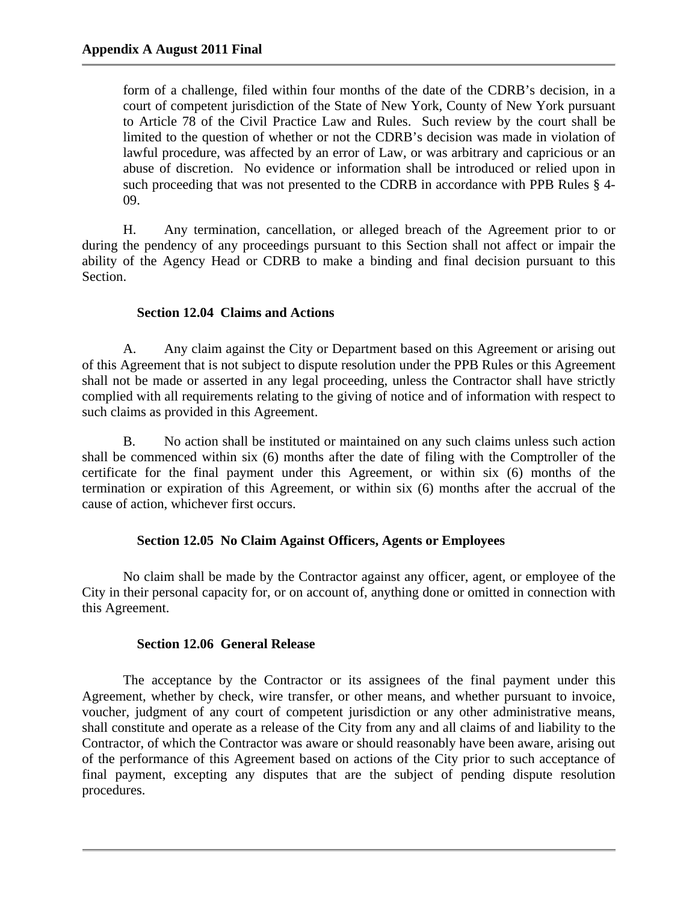form of a challenge, filed within four months of the date of the CDRB's decision, in a court of competent jurisdiction of the State of New York, County of New York pursuant to Article 78 of the Civil Practice Law and Rules. Such review by the court shall be limited to the question of whether or not the CDRB's decision was made in violation of lawful procedure, was affected by an error of Law, or was arbitrary and capricious or an abuse of discretion. No evidence or information shall be introduced or relied upon in such proceeding that was not presented to the CDRB in accordance with PPB Rules § 4- 09.

H. Any termination, cancellation, or alleged breach of the Agreement prior to or during the pendency of any proceedings pursuant to this Section shall not affect or impair the ability of the Agency Head or CDRB to make a binding and final decision pursuant to this Section.

## **Section 12.04 Claims and Actions**

A. Any claim against the City or Department based on this Agreement or arising out of this Agreement that is not subject to dispute resolution under the PPB Rules or this Agreement shall not be made or asserted in any legal proceeding, unless the Contractor shall have strictly complied with all requirements relating to the giving of notice and of information with respect to such claims as provided in this Agreement.

B. No action shall be instituted or maintained on any such claims unless such action shall be commenced within six (6) months after the date of filing with the Comptroller of the certificate for the final payment under this Agreement, or within six (6) months of the termination or expiration of this Agreement, or within six (6) months after the accrual of the cause of action, whichever first occurs.

## **Section 12.05 No Claim Against Officers, Agents or Employees**

No claim shall be made by the Contractor against any officer, agent, or employee of the City in their personal capacity for, or on account of, anything done or omitted in connection with this Agreement.

## **Section 12.06 General Release**

The acceptance by the Contractor or its assignees of the final payment under this Agreement, whether by check, wire transfer, or other means, and whether pursuant to invoice, voucher, judgment of any court of competent jurisdiction or any other administrative means, shall constitute and operate as a release of the City from any and all claims of and liability to the Contractor, of which the Contractor was aware or should reasonably have been aware, arising out of the performance of this Agreement based on actions of the City prior to such acceptance of final payment, excepting any disputes that are the subject of pending dispute resolution procedures.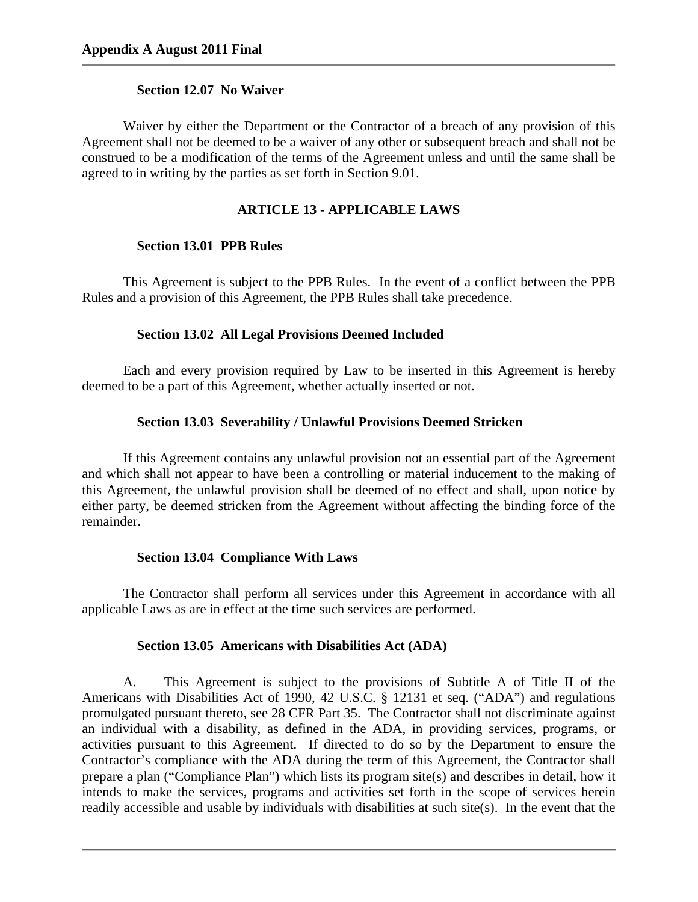## **Section 12.07 No Waiver**

Waiver by either the Department or the Contractor of a breach of any provision of this Agreement shall not be deemed to be a waiver of any other or subsequent breach and shall not be construed to be a modification of the terms of the Agreement unless and until the same shall be agreed to in writing by the parties as set forth in Section 9.01.

## **ARTICLE 13 - APPLICABLE LAWS**

## **Section 13.01 PPB Rules**

This Agreement is subject to the PPB Rules. In the event of a conflict between the PPB Rules and a provision of this Agreement, the PPB Rules shall take precedence.

### **Section 13.02 All Legal Provisions Deemed Included**

Each and every provision required by Law to be inserted in this Agreement is hereby deemed to be a part of this Agreement, whether actually inserted or not.

### **Section 13.03 Severability / Unlawful Provisions Deemed Stricken**

If this Agreement contains any unlawful provision not an essential part of the Agreement and which shall not appear to have been a controlling or material inducement to the making of this Agreement, the unlawful provision shall be deemed of no effect and shall, upon notice by either party, be deemed stricken from the Agreement without affecting the binding force of the remainder.

## **Section 13.04 Compliance With Laws**

The Contractor shall perform all services under this Agreement in accordance with all applicable Laws as are in effect at the time such services are performed.

### **Section 13.05 Americans with Disabilities Act (ADA)**

A. This Agreement is subject to the provisions of Subtitle A of Title II of the Americans with Disabilities Act of 1990, 42 U.S.C. § 12131 et seq. ("ADA") and regulations promulgated pursuant thereto, see 28 CFR Part 35. The Contractor shall not discriminate against an individual with a disability, as defined in the ADA, in providing services, programs, or activities pursuant to this Agreement. If directed to do so by the Department to ensure the Contractor's compliance with the ADA during the term of this Agreement, the Contractor shall prepare a plan ("Compliance Plan") which lists its program site(s) and describes in detail, how it intends to make the services, programs and activities set forth in the scope of services herein readily accessible and usable by individuals with disabilities at such site(s). In the event that the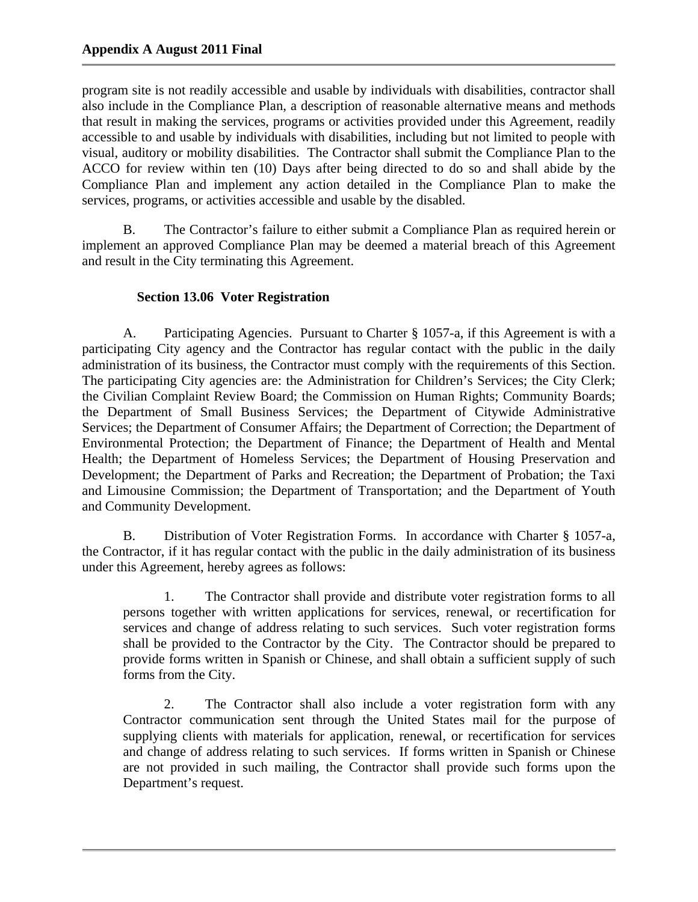program site is not readily accessible and usable by individuals with disabilities, contractor shall also include in the Compliance Plan, a description of reasonable alternative means and methods that result in making the services, programs or activities provided under this Agreement, readily accessible to and usable by individuals with disabilities, including but not limited to people with visual, auditory or mobility disabilities. The Contractor shall submit the Compliance Plan to the ACCO for review within ten (10) Days after being directed to do so and shall abide by the Compliance Plan and implement any action detailed in the Compliance Plan to make the services, programs, or activities accessible and usable by the disabled.

B. The Contractor's failure to either submit a Compliance Plan as required herein or implement an approved Compliance Plan may be deemed a material breach of this Agreement and result in the City terminating this Agreement.

# **Section 13.06 Voter Registration**

A. Participating Agencies. Pursuant to Charter § 1057-a, if this Agreement is with a participating City agency and the Contractor has regular contact with the public in the daily administration of its business, the Contractor must comply with the requirements of this Section. The participating City agencies are: the Administration for Children's Services; the City Clerk; the Civilian Complaint Review Board; the Commission on Human Rights; Community Boards; the Department of Small Business Services; the Department of Citywide Administrative Services; the Department of Consumer Affairs; the Department of Correction; the Department of Environmental Protection; the Department of Finance; the Department of Health and Mental Health; the Department of Homeless Services; the Department of Housing Preservation and Development; the Department of Parks and Recreation; the Department of Probation; the Taxi and Limousine Commission; the Department of Transportation; and the Department of Youth and Community Development.

B. Distribution of Voter Registration Forms. In accordance with Charter § 1057-a, the Contractor, if it has regular contact with the public in the daily administration of its business under this Agreement, hereby agrees as follows:

1. The Contractor shall provide and distribute voter registration forms to all persons together with written applications for services, renewal, or recertification for services and change of address relating to such services. Such voter registration forms shall be provided to the Contractor by the City. The Contractor should be prepared to provide forms written in Spanish or Chinese, and shall obtain a sufficient supply of such forms from the City.

2. The Contractor shall also include a voter registration form with any Contractor communication sent through the United States mail for the purpose of supplying clients with materials for application, renewal, or recertification for services and change of address relating to such services. If forms written in Spanish or Chinese are not provided in such mailing, the Contractor shall provide such forms upon the Department's request.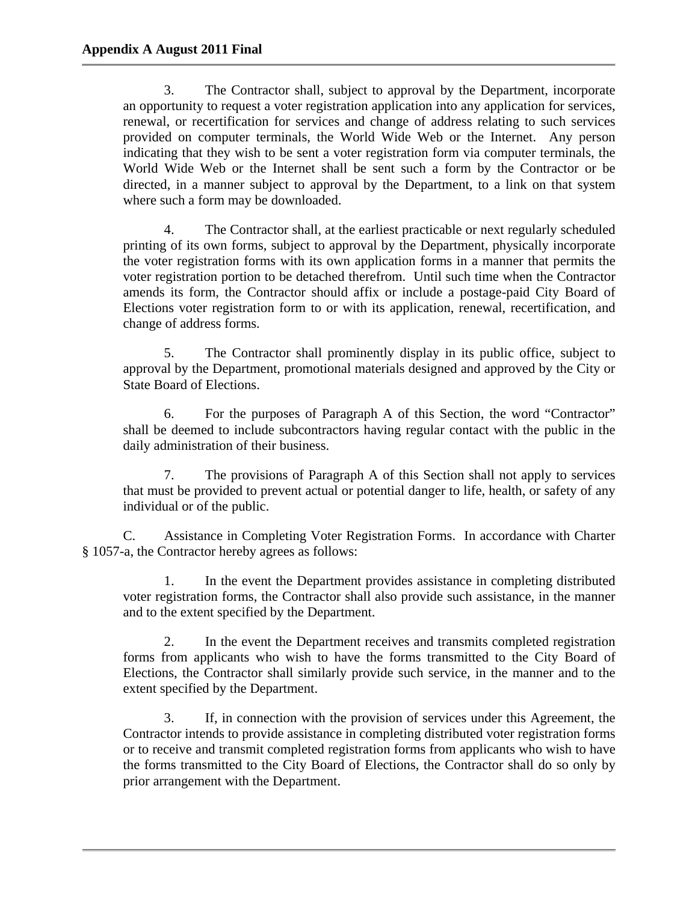3. The Contractor shall, subject to approval by the Department, incorporate an opportunity to request a voter registration application into any application for services, renewal, or recertification for services and change of address relating to such services provided on computer terminals, the World Wide Web or the Internet. Any person indicating that they wish to be sent a voter registration form via computer terminals, the World Wide Web or the Internet shall be sent such a form by the Contractor or be directed, in a manner subject to approval by the Department, to a link on that system where such a form may be downloaded.

4. The Contractor shall, at the earliest practicable or next regularly scheduled printing of its own forms, subject to approval by the Department, physically incorporate the voter registration forms with its own application forms in a manner that permits the voter registration portion to be detached therefrom. Until such time when the Contractor amends its form, the Contractor should affix or include a postage-paid City Board of Elections voter registration form to or with its application, renewal, recertification, and change of address forms.

5. The Contractor shall prominently display in its public office, subject to approval by the Department, promotional materials designed and approved by the City or State Board of Elections.

6. For the purposes of Paragraph A of this Section, the word "Contractor" shall be deemed to include subcontractors having regular contact with the public in the daily administration of their business.

7. The provisions of Paragraph A of this Section shall not apply to services that must be provided to prevent actual or potential danger to life, health, or safety of any individual or of the public.

C. Assistance in Completing Voter Registration Forms. In accordance with Charter § 1057-a, the Contractor hereby agrees as follows:

1. In the event the Department provides assistance in completing distributed voter registration forms, the Contractor shall also provide such assistance, in the manner and to the extent specified by the Department.

2. In the event the Department receives and transmits completed registration forms from applicants who wish to have the forms transmitted to the City Board of Elections, the Contractor shall similarly provide such service, in the manner and to the extent specified by the Department.

3. If, in connection with the provision of services under this Agreement, the Contractor intends to provide assistance in completing distributed voter registration forms or to receive and transmit completed registration forms from applicants who wish to have the forms transmitted to the City Board of Elections, the Contractor shall do so only by prior arrangement with the Department.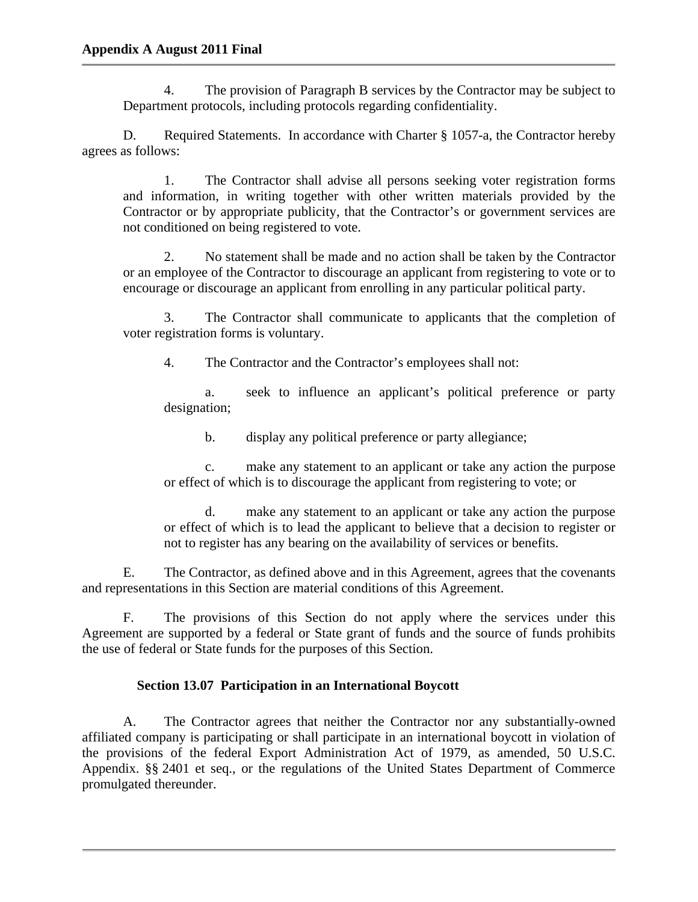4. The provision of Paragraph B services by the Contractor may be subject to Department protocols, including protocols regarding confidentiality.

D. Required Statements. In accordance with Charter § 1057-a, the Contractor hereby agrees as follows:

1. The Contractor shall advise all persons seeking voter registration forms and information, in writing together with other written materials provided by the Contractor or by appropriate publicity, that the Contractor's or government services are not conditioned on being registered to vote.

2. No statement shall be made and no action shall be taken by the Contractor or an employee of the Contractor to discourage an applicant from registering to vote or to encourage or discourage an applicant from enrolling in any particular political party.

3. The Contractor shall communicate to applicants that the completion of voter registration forms is voluntary.

4. The Contractor and the Contractor's employees shall not:

a. seek to influence an applicant's political preference or party designation;

b. display any political preference or party allegiance;

c. make any statement to an applicant or take any action the purpose or effect of which is to discourage the applicant from registering to vote; or

d. make any statement to an applicant or take any action the purpose or effect of which is to lead the applicant to believe that a decision to register or not to register has any bearing on the availability of services or benefits.

E. The Contractor, as defined above and in this Agreement, agrees that the covenants and representations in this Section are material conditions of this Agreement.

F. The provisions of this Section do not apply where the services under this Agreement are supported by a federal or State grant of funds and the source of funds prohibits the use of federal or State funds for the purposes of this Section.

# **Section 13.07 Participation in an International Boycott**

A. The Contractor agrees that neither the Contractor nor any substantially-owned affiliated company is participating or shall participate in an international boycott in violation of the provisions of the federal Export Administration Act of 1979, as amended, 50 U.S.C. Appendix. §§ 2401 et seq., or the regulations of the United States Department of Commerce promulgated thereunder.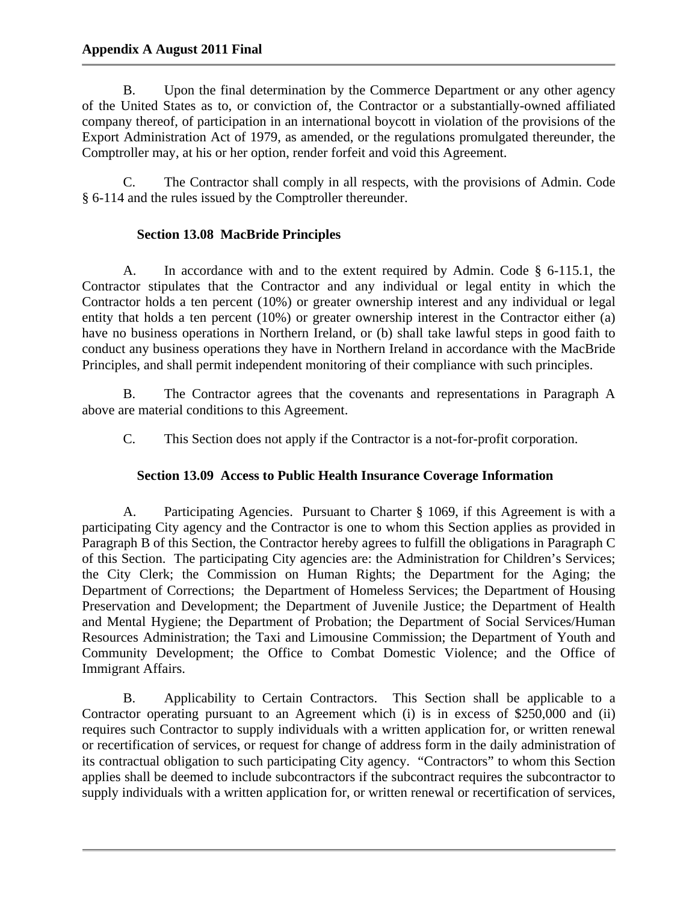B. Upon the final determination by the Commerce Department or any other agency of the United States as to, or conviction of, the Contractor or a substantially-owned affiliated company thereof, of participation in an international boycott in violation of the provisions of the Export Administration Act of 1979, as amended, or the regulations promulgated thereunder, the Comptroller may, at his or her option, render forfeit and void this Agreement.

C. The Contractor shall comply in all respects, with the provisions of Admin. Code § 6-114 and the rules issued by the Comptroller thereunder.

# **Section 13.08 MacBride Principles**

A. In accordance with and to the extent required by Admin. Code § 6-115.1, the Contractor stipulates that the Contractor and any individual or legal entity in which the Contractor holds a ten percent (10%) or greater ownership interest and any individual or legal entity that holds a ten percent (10%) or greater ownership interest in the Contractor either (a) have no business operations in Northern Ireland, or (b) shall take lawful steps in good faith to conduct any business operations they have in Northern Ireland in accordance with the MacBride Principles, and shall permit independent monitoring of their compliance with such principles.

B. The Contractor agrees that the covenants and representations in Paragraph A above are material conditions to this Agreement.

C. This Section does not apply if the Contractor is a not-for-profit corporation.

# **Section 13.09 Access to Public Health Insurance Coverage Information**

A. Participating Agencies. Pursuant to Charter § 1069, if this Agreement is with a participating City agency and the Contractor is one to whom this Section applies as provided in Paragraph B of this Section, the Contractor hereby agrees to fulfill the obligations in Paragraph C of this Section. The participating City agencies are: the Administration for Children's Services; the City Clerk; the Commission on Human Rights; the Department for the Aging; the Department of Corrections; the Department of Homeless Services; the Department of Housing Preservation and Development; the Department of Juvenile Justice; the Department of Health and Mental Hygiene; the Department of Probation; the Department of Social Services/Human Resources Administration; the Taxi and Limousine Commission; the Department of Youth and Community Development; the Office to Combat Domestic Violence; and the Office of Immigrant Affairs.

 B. Applicability to Certain Contractors. This Section shall be applicable to a Contractor operating pursuant to an Agreement which (i) is in excess of \$250,000 and (ii) requires such Contractor to supply individuals with a written application for, or written renewal or recertification of services, or request for change of address form in the daily administration of its contractual obligation to such participating City agency. "Contractors" to whom this Section applies shall be deemed to include subcontractors if the subcontract requires the subcontractor to supply individuals with a written application for, or written renewal or recertification of services,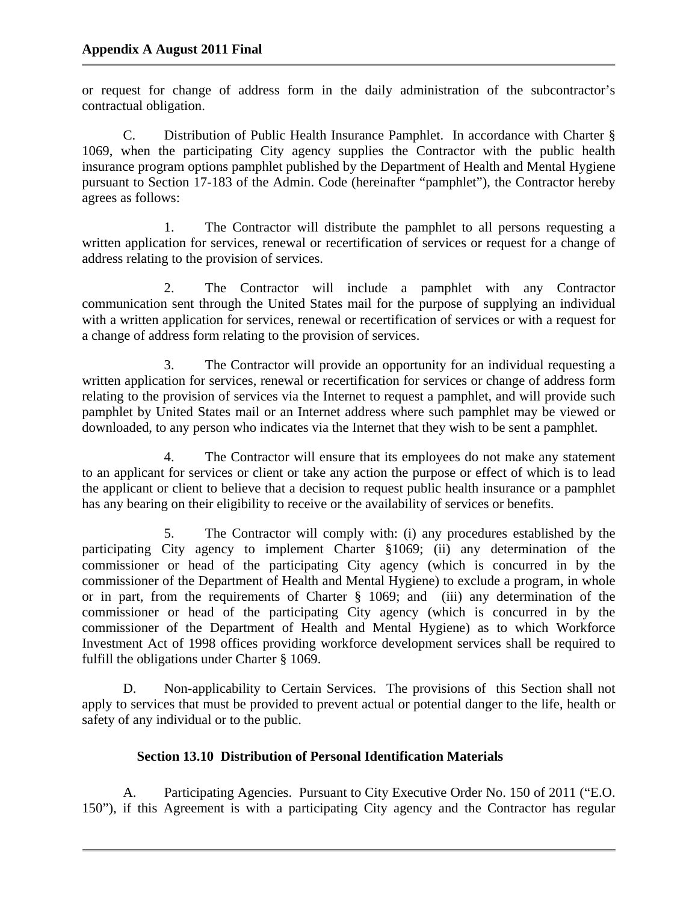or request for change of address form in the daily administration of the subcontractor's contractual obligation.

 C. Distribution of Public Health Insurance Pamphlet. In accordance with Charter § 1069, when the participating City agency supplies the Contractor with the public health insurance program options pamphlet published by the Department of Health and Mental Hygiene pursuant to Section 17-183 of the Admin. Code (hereinafter "pamphlet"), the Contractor hereby agrees as follows:

 1. The Contractor will distribute the pamphlet to all persons requesting a written application for services, renewal or recertification of services or request for a change of address relating to the provision of services.

 2. The Contractor will include a pamphlet with any Contractor communication sent through the United States mail for the purpose of supplying an individual with a written application for services, renewal or recertification of services or with a request for a change of address form relating to the provision of services.

 3. The Contractor will provide an opportunity for an individual requesting a written application for services, renewal or recertification for services or change of address form relating to the provision of services via the Internet to request a pamphlet, and will provide such pamphlet by United States mail or an Internet address where such pamphlet may be viewed or downloaded, to any person who indicates via the Internet that they wish to be sent a pamphlet.

 4. The Contractor will ensure that its employees do not make any statement to an applicant for services or client or take any action the purpose or effect of which is to lead the applicant or client to believe that a decision to request public health insurance or a pamphlet has any bearing on their eligibility to receive or the availability of services or benefits.

 5. The Contractor will comply with: (i) any procedures established by the participating City agency to implement Charter §1069; (ii) any determination of the commissioner or head of the participating City agency (which is concurred in by the commissioner of the Department of Health and Mental Hygiene) to exclude a program, in whole or in part, from the requirements of Charter § 1069; and (iii) any determination of the commissioner or head of the participating City agency (which is concurred in by the commissioner of the Department of Health and Mental Hygiene) as to which Workforce Investment Act of 1998 offices providing workforce development services shall be required to fulfill the obligations under Charter § 1069.

 D. Non-applicability to Certain Services. The provisions of this Section shall not apply to services that must be provided to prevent actual or potential danger to the life, health or safety of any individual or to the public.

# **Section 13.10 Distribution of Personal Identification Materials**

A. Participating Agencies. Pursuant to City Executive Order No. 150 of 2011 ("E.O. 150"), if this Agreement is with a participating City agency and the Contractor has regular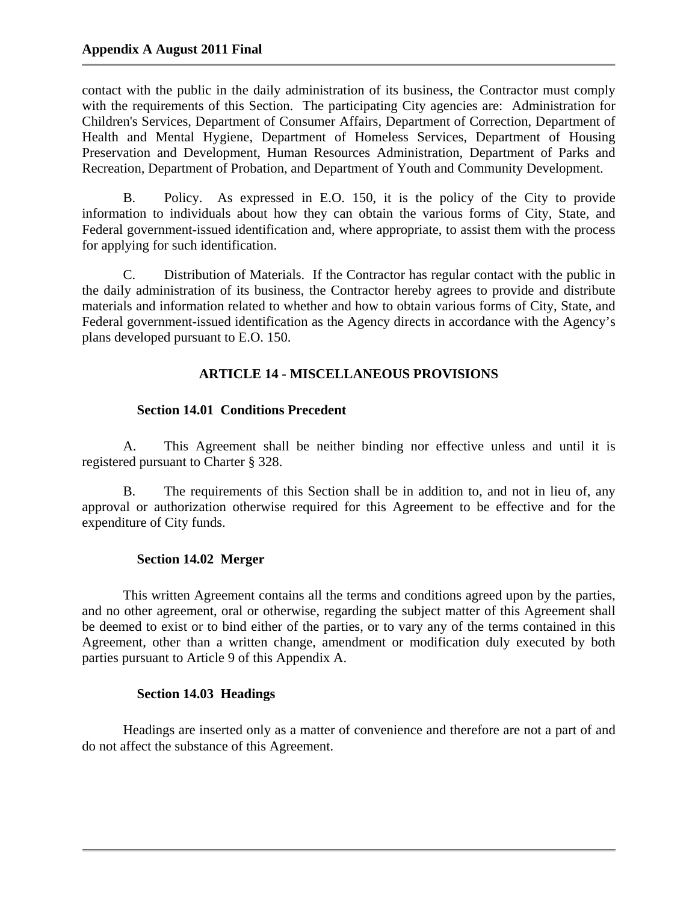contact with the public in the daily administration of its business, the Contractor must comply with the requirements of this Section. The participating City agencies are: Administration for Children's Services, Department of Consumer Affairs, Department of Correction, Department of Health and Mental Hygiene, Department of Homeless Services, Department of Housing Preservation and Development, Human Resources Administration, Department of Parks and Recreation, Department of Probation, and Department of Youth and Community Development.

 B. Policy. As expressed in E.O. 150, it is the policy of the City to provide information to individuals about how they can obtain the various forms of City, State, and Federal government-issued identification and, where appropriate, to assist them with the process for applying for such identification.

 C. Distribution of Materials. If the Contractor has regular contact with the public in the daily administration of its business, the Contractor hereby agrees to provide and distribute materials and information related to whether and how to obtain various forms of City, State, and Federal government-issued identification as the Agency directs in accordance with the Agency's plans developed pursuant to E.O. 150.

# **ARTICLE 14 - MISCELLANEOUS PROVISIONS**

## **Section 14.01 Conditions Precedent**

A. This Agreement shall be neither binding nor effective unless and until it is registered pursuant to Charter § 328.

B. The requirements of this Section shall be in addition to, and not in lieu of, any approval or authorization otherwise required for this Agreement to be effective and for the expenditure of City funds.

# **Section 14.02 Merger**

This written Agreement contains all the terms and conditions agreed upon by the parties, and no other agreement, oral or otherwise, regarding the subject matter of this Agreement shall be deemed to exist or to bind either of the parties, or to vary any of the terms contained in this Agreement, other than a written change, amendment or modification duly executed by both parties pursuant to Article 9 of this Appendix A.

## **Section 14.03 Headings**

Headings are inserted only as a matter of convenience and therefore are not a part of and do not affect the substance of this Agreement.